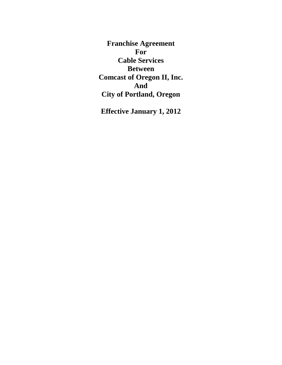**Franchise Agreement For Cable Services Between Comcast of Oregon II, Inc. And City of Portland, Oregon**

**Effective January 1, 2012**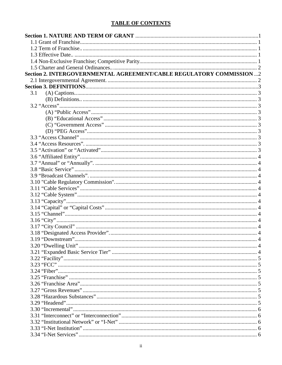# **TABLE OF CONTENTS**

| Section 2. INTERGOVERNMENTAL AGREEMENT/CABLE REGULATORY COMMISSION 2 |  |
|----------------------------------------------------------------------|--|
|                                                                      |  |
|                                                                      |  |
| 3.1                                                                  |  |
|                                                                      |  |
|                                                                      |  |
|                                                                      |  |
|                                                                      |  |
|                                                                      |  |
|                                                                      |  |
|                                                                      |  |
|                                                                      |  |
|                                                                      |  |
|                                                                      |  |
|                                                                      |  |
|                                                                      |  |
|                                                                      |  |
|                                                                      |  |
|                                                                      |  |
|                                                                      |  |
|                                                                      |  |
|                                                                      |  |
|                                                                      |  |
|                                                                      |  |
|                                                                      |  |
|                                                                      |  |
|                                                                      |  |
|                                                                      |  |
|                                                                      |  |
|                                                                      |  |
|                                                                      |  |
|                                                                      |  |
|                                                                      |  |
|                                                                      |  |
|                                                                      |  |
|                                                                      |  |
|                                                                      |  |
|                                                                      |  |
|                                                                      |  |
|                                                                      |  |
|                                                                      |  |
|                                                                      |  |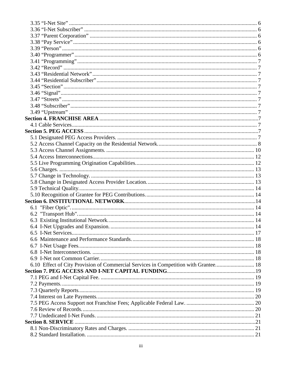| 6.10 Effect of City Provision of Commercial Services in Competition with Grantee 18 |  |
|-------------------------------------------------------------------------------------|--|
|                                                                                     |  |
|                                                                                     |  |
|                                                                                     |  |
|                                                                                     |  |
|                                                                                     |  |
|                                                                                     |  |
|                                                                                     |  |
|                                                                                     |  |
|                                                                                     |  |
|                                                                                     |  |
|                                                                                     |  |
|                                                                                     |  |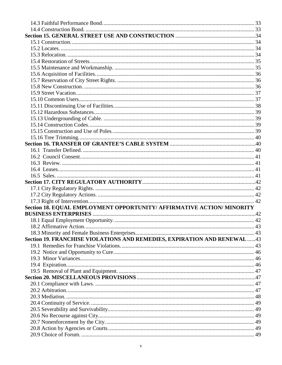| Section 18. EQUAL EMPLOYMENT OPPORTUNITY/ AFFIRMATIVE ACTION/ MINORITY    |  |
|---------------------------------------------------------------------------|--|
|                                                                           |  |
|                                                                           |  |
|                                                                           |  |
|                                                                           |  |
| Section 19. FRANCHISE VIOLATIONS AND REMEDIES, EXPIRATION AND RENEWAL  43 |  |
|                                                                           |  |
|                                                                           |  |
|                                                                           |  |
|                                                                           |  |
|                                                                           |  |
|                                                                           |  |
|                                                                           |  |
|                                                                           |  |
|                                                                           |  |
|                                                                           |  |
|                                                                           |  |
|                                                                           |  |
|                                                                           |  |
|                                                                           |  |
|                                                                           |  |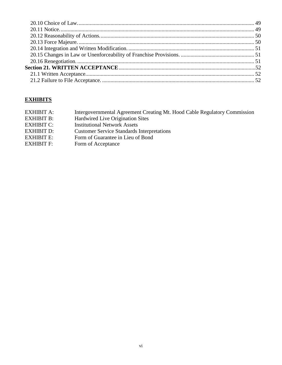# **EXHIBITS**

| Intergovernmental Agreement Creating Mt. Hood Cable Regulatory Commission |
|---------------------------------------------------------------------------|
| Hardwired Live Origination Sites                                          |
| <b>Institutional Network Assets</b>                                       |
| <b>Customer Service Standards Interpretations</b>                         |
| Form of Guarantee in Lieu of Bond                                         |
| Form of Acceptance                                                        |
|                                                                           |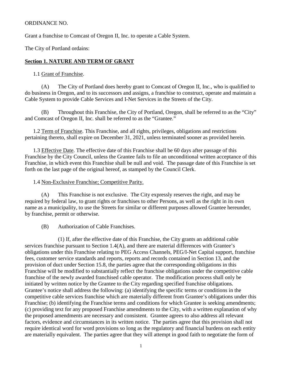#### ORDINANCE NO.

Grant a franchise to Comcast of Oregon II, Inc. to operate a Cable System.

The City of Portland ordains:

### <span id="page-6-0"></span>**Section 1. NATURE AND TERM OF GRANT**

#### <span id="page-6-1"></span>1.1 Grant of Franchise.

(A) The City of Portland does hereby grant to Comcast of Oregon II, Inc., who is qualified to do business in Oregon, and to its successors and assigns, a franchise to construct, operate and maintain a Cable System to provide Cable Services and I-Net Services in the Streets of the City.

(B) Throughout this Franchise, the City of Portland, Oregon, shall be referred to as the "City" and Comcast of Oregon II, Inc. shall be referred to as the "Grantee."

<span id="page-6-2"></span>1.2 Term of Franchise. This Franchise, and all rights, privileges, obligations and restrictions pertaining thereto, shall expire on December 31, 2021, unless terminated sooner as provided herein.

<span id="page-6-3"></span>1.3 Effective Date. The effective date of this Franchise shall be 60 days after passage of this Franchise by the City Council, unless the Grantee fails to file an unconditional written acceptance of this Franchise, in which event this Franchise shall be null and void. The passage date of this Franchise is set forth on the last page of the original hereof, as stamped by the Council Clerk.

#### <span id="page-6-4"></span>1.4 Non-Exclusive Franchise; Competitive Parity.

(A) This Franchise is not exclusive. The City expressly reserves the right, and may be required by federal law, to grant rights or franchises to other Persons, as well as the right in its own name as a municipality, to use the Streets for similar or different purposes allowed Grantee hereunder, by franchise, permit or otherwise.

(B) Authorization of Cable Franchises.

(1) If, after the effective date of this Franchise, the City grants an additional cable services franchise pursuant to Section 1.4(A), and there are material differences with Grantee's obligations under this Franchise relating to PEG Access Channels, PEG/I-Net Capital support, franchise fees, customer service standards and reports, reports and records contained in Section 13, and the provision of duct under Section 15.8, the parties agree that the corresponding obligations in this Franchise will be modified to substantially reflect the franchise obligations under the competitive cable franchise of the newly awarded franchised cable operator. The modification process shall only be initiated by written notice by the Grantee to the City regarding specified franchise obligations. Grantee's notice shall address the following: (a) identifying the specific terms or conditions in the competitive cable services franchise which are materially different from Grantee's obligations under this Franchise; (b) identifying the Franchise terms and conditions for which Grantee is seeking amendments; (c) providing text for any proposed Franchise amendments to the City, with a written explanation of why the proposed amendments are necessary and consistent. Grantee agrees to also address all relevant factors, evidence and circumstances in its written notice. The parties agree that this provision shall not require identical word for word provisions so long as the regulatory and financial burdens on each entity are materially equivalent. The parties agree that they will attempt in good faith to negotiate the form of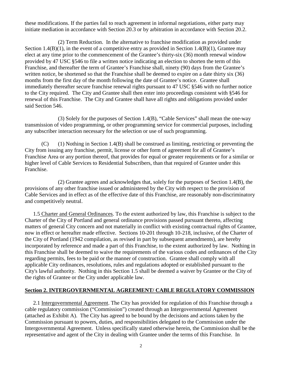these modifications. If the parties fail to reach agreement in informal negotiations, either party may initiate mediation in accordance with Section 20.3 or by arbitration in accordance with Section 20.2.

(2) Term Reduction. In the alternative to franchise modification as provided under Section 1.4(B)(1), in the event of a competitive entry as provided in Section 1.4(B)(1), Grantee may elect at any time prior to the commencement of the Grantee's thirty-six (36) month renewal window provided by 47 USC §546 to file a written notice indicating an election to shorten the term of this Franchise, and thereafter the term of Grantee's Franchise shall, ninety (90) days from the Grantee's written notice, be shortened so that the Franchise shall be deemed to expire on a date thirty six (36) months from the first day of the month following the date of Grantee's notice. Grantee shall immediately thereafter secure franchise renewal rights pursuant to 47 USC §546 with no further notice to the City required. The City and Grantee shall then enter into proceedings consistent with §546 for renewal of this Franchise. The City and Grantee shall have all rights and obligations provided under said Section 546.

(3) Solely for the purposes of Section 1.4(B), "Cable Services" shall mean the one-way transmission of video programming, or other programming service for commercial purposes, including any subscriber interaction necessary for the selection or use of such programming.

 $(C)$  (1) Nothing in Section 1.4(B) shall be construed as limiting, restricting or preventing the City from issuing any franchise, permit, license or other form of agreement for all of Grantee's Franchise Area or any portion thereof, that provides for equal or greater requirements or for a similar or higher level of Cable Services to Residential Subscribers, than that required of Grantee under this Franchise.

(2) Grantee agrees and acknowledges that, solely for the purposes of Section 1.4(B), the provisions of any other franchise issued or administered by the City with respect to the provision of Cable Services and in effect as of the effective date of this Franchise, are reasonably non-discriminatory and competitively neutral.

<span id="page-7-0"></span>1.5 Charter and General Ordinances. To the extent authorized by law, this Franchise is subject to the Charter of the City of Portland and general ordinance provisions passed pursuant thereto, affecting matters of general City concern and not materially in conflict with existing contractual rights of Grantee, now in effect or hereafter made effective. Sections 10-201 through 10-218, inclusive, of the Charter of the City of Portland (1942 compilation, as revised in part by subsequent amendments), are hereby incorporated by reference and made a part of this Franchise, to the extent authorized by law. Nothing in this Franchise shall be deemed to waive the requirements of the various codes and ordinances of the City regarding permits, fees to be paid or the manner of construction. Grantee shall comply with all applicable City ordinances, resolutions, rules and regulations adopted or established pursuant to the City's lawful authority. Nothing in this Section 1.5 shall be deemed a waiver by Grantee or the City of the rights of Grantee or the City under applicable law.

### <span id="page-7-1"></span>**Section 2. INTERGOVERNMENTAL AGREEMENT/ CABLE REGULATORY COMMISSION**

<span id="page-7-2"></span>2.1 Intergovernmental Agreement. The City has provided for regulation of this Franchise through a cable regulatory commission ("Commission") created through an Intergovernmental Agreement (attached as Exhibit A). The City has agreed to be bound by the decisions and actions taken by the Commission pursuant to powers, duties, and responsibilities delegated to the Commission under the Intergovernmental Agreement. Unless specifically stated otherwise herein, the Commission shall be the representative and agent of the City in dealing with Grantee under the terms of this Franchise. In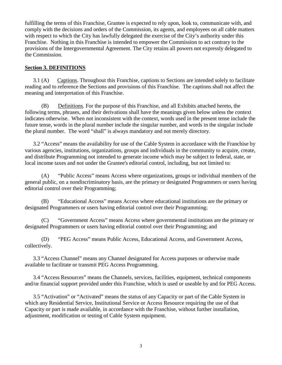fulfilling the terms of this Franchise, Grantee is expected to rely upon, look to, communicate with, and comply with the decisions and orders of the Commission, its agents, and employees on all cable matters with respect to which the City has lawfully delegated the exercise of the City's authority under this Franchise. Nothing in this Franchise is intended to empower the Commission to act contrary to the provisions of the Intergovernmental Agreement. The City retains all powers not expressly delegated to the Commission.

#### <span id="page-8-0"></span>**Section 3. DEFINITIONS**

<span id="page-8-1"></span>3.1 (A) Captions. Throughout this Franchise, captions to Sections are intended solely to facilitate reading and to reference the Sections and provisions of this Franchise. The captions shall not affect the meaning and interpretation of this Franchise.

<span id="page-8-2"></span>(B) Definitions. For the purpose of this Franchise, and all Exhibits attached hereto, the following terms, phrases, and their derivations shall have the meanings given below unless the context indicates otherwise. When not inconsistent with the context, words used in the present tense include the future tense, words in the plural number include the singular number, and words in the singular include the plural number. The word "shall" is always mandatory and not merely directory.

<span id="page-8-3"></span>3.2 "Access" means the availability for use of the Cable System in accordance with the Franchise by various agencies, institutions, organizations, groups and individuals in the community to acquire, create, and distribute Programming not intended to generate income which may be subject to federal, state, or local income taxes and not under the Grantee's editorial control, including, but not limited to:

<span id="page-8-4"></span>(A) "Public Access" means Access where organizations, groups or individual members of the general public, on a nondiscriminatory basis, are the primary or designated Programmers or users having editorial control over their Programming;

<span id="page-8-5"></span>(B) "Educational Access" means Access where educational institutions are the primary or designated Programmers or users having editorial control over their Programming;

<span id="page-8-6"></span>(C) "Government Access" means Access where governmental institutions are the primary or designated Programmers or users having editorial control over their Programming; and

<span id="page-8-7"></span>(D) "PEG Access" means Public Access, Educational Access, and Government Access, collectively.

<span id="page-8-8"></span>3.3 "Access Channel" means any Channel designated for Access purposes or otherwise made available to facilitate or transmit PEG Access Programming.

<span id="page-8-9"></span>3.4 "Access Resources" means the Channels, services, facilities, equipment, technical components and/or financial support provided under this Franchise, which is used or useable by and for PEG Access.

<span id="page-8-10"></span>3.5 "Activation" or "Activated" means the status of any Capacity or part of the Cable System in which any Residential Service, Institutional Service or Access Resource requiring the use of that Capacity or part is made available, in accordance with the Franchise, without further installation, adjustment, modification or testing of Cable System equipment.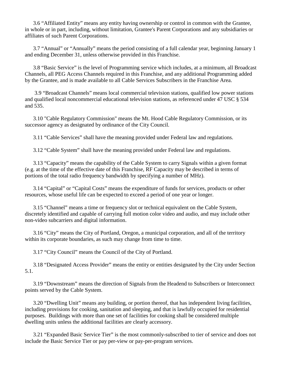<span id="page-9-0"></span>3.6 "Affiliated Entity" means any entity having ownership or control in common with the Grantee, in whole or in part, including, without limitation, Grantee's Parent Corporations and any subsidiaries or affiliates of such Parent Corporations.

<span id="page-9-1"></span>3.7 "Annual" or "Annually" means the period consisting of a full calendar year, beginning January 1 and ending December 31, unless otherwise provided in this Franchise.

<span id="page-9-2"></span>3.8 "Basic Service" is the level of Programming service which includes, at a minimum, all Broadcast Channels, all PEG Access Channels required in this Franchise, and any additional Programming added by the Grantee, and is made available to all Cable Services Subscribers in the Franchise Area.

<span id="page-9-3"></span>3.9 "Broadcast Channels" means local commercial television stations, qualified low power stations and qualified local noncommercial educational television stations, as referenced under 47 USC § 534 and 535.

<span id="page-9-4"></span>3.10 "Cable Regulatory Commission" means the Mt. Hood Cable Regulatory Commission, or its successor agency as designated by ordinance of the City Council.

<span id="page-9-5"></span>3.11 "Cable Services" shall have the meaning provided under Federal law and regulations.

<span id="page-9-6"></span>3.12 "Cable System" shall have the meaning provided under Federal law and regulations.

<span id="page-9-7"></span>3.13 "Capacity" means the capability of the Cable System to carry Signals within a given format (e.g. at the time of the effective date of this Franchise, RF Capacity may be described in terms of portions of the total radio frequency bandwidth by specifying a number of MHz).

<span id="page-9-8"></span>3.14 "Capital" or "Capital Costs" means the expenditure of funds for services, products or other resources, whose useful life can be expected to exceed a period of one year or longer.

<span id="page-9-9"></span>3.15 "Channel" means a time or frequency slot or technical equivalent on the Cable System, discretely identified and capable of carrying full motion color video and audio, and may include other non-video subcarriers and digital information.

<span id="page-9-10"></span>3.16 "City" means the City of Portland, Oregon, a municipal corporation, and all of the territory within its corporate boundaries, as such may change from time to time.

<span id="page-9-11"></span>3.17 "City Council" means the Council of the City of Portland.

<span id="page-9-12"></span>3.18 "Designated Access Provider" means the entity or entities designated by the City under Section 5.1.

<span id="page-9-13"></span>3.19 "Downstream" means the direction of Signals from the Headend to Subscribers or Interconnect points served by the Cable System.

<span id="page-9-14"></span>3.20 "Dwelling Unit" means any building, or portion thereof, that has independent living facilities, including provisions for cooking, sanitation and sleeping, and that is lawfully occupied for residential purposes. Buildings with more than one set of facilities for cooking shall be considered multiple dwelling units unless the additional facilities are clearly accessory.

3.21 "Expanded Basic Service Tier" is the most commonly-subscribed to tier of service and does not include the Basic Service Tier or pay per-view or pay-per-program services.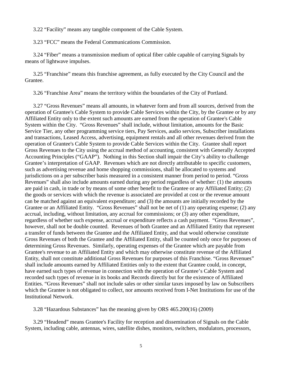<span id="page-10-0"></span>3.22 "Facility" means any tangible component of the Cable System.

<span id="page-10-1"></span>3.23 "FCC" means the Federal Communications Commission.

<span id="page-10-2"></span>3.24 "Fiber" means a transmission medium of optical fiber cable capable of carrying Signals by means of lightwave impulses.

<span id="page-10-3"></span>3.25 "Franchise" means this franchise agreement, as fully executed by the City Council and the Grantee.

<span id="page-10-4"></span>3.26 "Franchise Area" means the territory within the boundaries of the City of Portland.

<span id="page-10-5"></span>3.27 "Gross Revenues" means all amounts, in whatever form and from all sources, derived from the operation of Grantee's Cable System to provide Cable Services within the City, by the Grantee or by any Affiliated Entity only to the extent such amounts are earned from the operation of Grantee's Cable System within the City. "Gross Revenues" shall include, without limitation, amounts for the Basic Service Tier, any other programming service tiers, Pay Services, audio services, Subscriber installations and transactions, Leased Access, advertising, equipment rentals and all other revenues derived from the operation of Grantee's Cable System to provide Cable Services within the City. Grantee shall report Gross Revenues to the City using the accrual method of accounting, consistent with Generally Accepted Accounting Principles ("GAAP"). Nothing in this Section shall impair the City's ability to challenge Grantee's interpretation of GAAP. Revenues which are not directly attributable to specific customers, such as advertising revenue and home shopping commissions, shall be allocated to systems and jurisdictions on a per subscriber basis measured in a consistent manner from period to period. "Gross Revenues" shall also include amounts earned during any period regardless of whether: (1) the amounts are paid in cash, in trade or by means of some other benefit to the Grantee or any Affiliated Entity; (2) the goods or services with which the revenue is associated are provided at cost or the revenue amount can be matched against an equivalent expenditure; and (3) the amounts are initially recorded by the Grantee or an Affiliated Entity. "Gross Revenues" shall not be net of (1) any operating expense; (2) any accrual, including, without limitation, any accrual for commissions; or (3) any other expenditure, regardless of whether such expense, accrual or expenditure reflects a cash payment. "Gross Revenues", however, shall not be double counted. Revenues of both Grantee and an Affiliated Entity that represent a transfer of funds between the Grantee and the Affiliated Entity, and that would otherwise constitute Gross Revenues of both the Grantee and the Affiliated Entity, shall be counted only once for purposes of determining Gross Revenues. Similarly, operating expenses of the Grantee which are payable from Grantee's revenue to an Affiliated Entity and which may otherwise constitute revenue of the Affiliated Entity, shall not constitute additional Gross Revenues for purposes of this Franchise. "Gross Revenues" shall include amounts earned by Affiliated Entities only to the extent that Grantee could, in concept, have earned such types of revenue in connection with the operation of Grantee's Cable System and recorded such types of revenue in its books and Records directly but for the existence of Affiliated Entities. "Gross Revenues" shall not include sales or other similar taxes imposed by law on Subscribers which the Grantee is not obligated to collect, nor amounts received from I-Net Institutions for use of the Institutional Network.

<span id="page-10-6"></span>3.28 "Hazardous Substances" has the meaning given by ORS 465.200(16) (2009)

<span id="page-10-7"></span>3.29 "Headend" means Grantee's Facility for reception and dissemination of Signals on the Cable System, including cable, antennas, wires, satellite dishes, monitors, switchers, modulators, processors,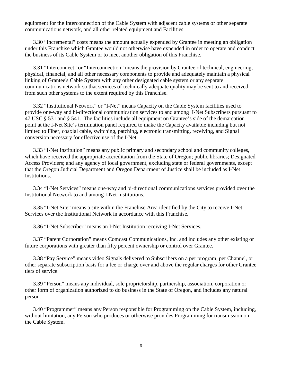equipment for the Interconnection of the Cable System with adjacent cable systems or other separate communications network, and all other related equipment and Facilities.

<span id="page-11-0"></span>3.30 "Incremental" costs means the amount actually expended by Grantee in meeting an obligation under this Franchise which Grantee would not otherwise have expended in order to operate and conduct the business of its Cable System or to meet another obligation of this Franchise.

<span id="page-11-1"></span>3.31 "Interconnect" or "Interconnection" means the provision by Grantee of technical, engineering, physical, financial, and all other necessary components to provide and adequately maintain a physical linking of Grantee's Cable System with any other designated cable system or any separate communications network so that services of technically adequate quality may be sent to and received from such other systems to the extent required by this Franchise.

<span id="page-11-2"></span>3.32 "Institutional Network" or "I-Net" means Capacity on the Cable System facilities used to provide one-way and bi-directional communication services to and among I-Net Subscribers pursuant to 47 USC § 531 and § 541. The facilities include all equipment on Grantee's side of the demarcation point at the I-Net Site's termination panel required to make the Capacity available including but not limited to Fiber, coaxial cable, switching, patching, electronic transmitting, receiving, and Signal conversion necessary for effective use of the I-Net.

<span id="page-11-3"></span>3.33 "I-Net Institution" means any public primary and secondary school and community colleges, which have received the appropriate accreditation from the State of Oregon; public libraries; Designated Access Providers; and any agency of local government, excluding state or federal governments, except that the Oregon Judicial Department and Oregon Department of Justice shall be included as I-Net Institutions.

<span id="page-11-4"></span>3.34 "I-Net Services" means one-way and bi-directional communications services provided over the Institutional Network to and among I-Net Institutions.

<span id="page-11-5"></span>3.35 "I-Net Site" means a site within the Franchise Area identified by the City to receive I-Net Services over the Institutional Network in accordance with this Franchise.

<span id="page-11-6"></span>3.36 "I-Net Subscriber" means an I-Net Institution receiving I-Net Services.

<span id="page-11-7"></span>3.37 "Parent Corporation" means Comcast Communications, Inc. and includes any other existing or future corporations with greater than fifty percent ownership or control over Grantee.

<span id="page-11-8"></span>3.38 "Pay Service" means video Signals delivered to Subscribers on a per program, per Channel, or other separate subscription basis for a fee or charge over and above the regular charges for other Grantee tiers of service.

<span id="page-11-9"></span>3.39 "Person" means any individual, sole proprietorship, partnership, association, corporation or other form of organization authorized to do business in the State of Oregon, and includes any natural person.

<span id="page-11-10"></span>3.40 "Programmer" means any Person responsible for Programming on the Cable System, including, without limitation, any Person who produces or otherwise provides Programming for transmission on the Cable System.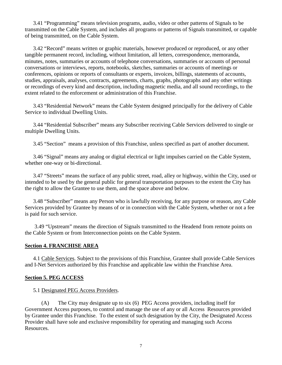<span id="page-12-0"></span>3.41 "Programming" means television programs, audio, video or other patterns of Signals to be transmitted on the Cable System, and includes all programs or patterns of Signals transmitted, or capable of being transmitted, on the Cable System.

<span id="page-12-1"></span>3.42 "Record" means written or graphic materials, however produced or reproduced, or any other tangible permanent record, including, without limitation, all letters, correspondence, memoranda, minutes, notes, summaries or accounts of telephone conversations, summaries or accounts of personal conversations or interviews, reports, notebooks, sketches, summaries or accounts of meetings or conferences, opinions or reports of consultants or experts, invoices, billings, statements of accounts, studies, appraisals, analyses, contracts, agreements, charts, graphs, photographs and any other writings or recordings of every kind and description, including magnetic media, and all sound recordings, to the extent related to the enforcement or administration of this Franchise.

<span id="page-12-2"></span>3.43 "Residential Network" means the Cable System designed principally for the delivery of Cable Service to individual Dwelling Units.

<span id="page-12-3"></span>3.44 "Residential Subscriber" means any Subscriber receiving Cable Services delivered to single or multiple Dwelling Units.

<span id="page-12-4"></span>3.45 "Section" means a provision of this Franchise, unless specified as part of another document.

<span id="page-12-5"></span>3.46 "Signal" means any analog or digital electrical or light impulses carried on the Cable System, whether one-way or bi-directional.

<span id="page-12-6"></span>3.47 "Streets" means the surface of any public street, road, alley or highway, within the City, used or intended to be used by the general public for general transportation purposes to the extent the City has the right to allow the Grantee to use them, and the space above and below.

<span id="page-12-7"></span>3.48 "Subscriber" means any Person who is lawfully receiving, for any purpose or reason, any Cable Services provided by Grantee by means of or in connection with the Cable System, whether or not a fee is paid for such service.

<span id="page-12-8"></span>3.49 "Upstream" means the direction of Signals transmitted to the Headend from remote points on the Cable System or from Interconnection points on the Cable System.

#### <span id="page-12-9"></span>**Section 4. FRANCHISE AREA**

<span id="page-12-10"></span>4.1 Cable Services. Subject to the provisions of this Franchise, Grantee shall provide Cable Services and I-Net Services authorized by this Franchise and applicable law within the Franchise Area.

#### <span id="page-12-11"></span>**Section 5. PEG ACCESS**

#### <span id="page-12-12"></span>5.1 Designated PEG Access Providers.

(A) The City may designate up to six (6) PEG Access providers, including itself for Government Access purposes, to control and manage the use of any or all Access Resources provided by Grantee under this Franchise. To the extent of such designation by the City, the Designated Access Provider shall have sole and exclusive responsibility for operating and managing such Access Resources.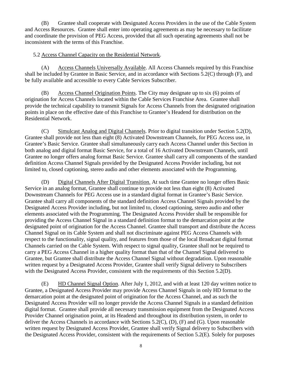(B) Grantee shall cooperate with Designated Access Providers in the use of the Cable System and Access Resources. Grantee shall enter into operating agreements as may be necessary to facilitate and coordinate the provision of PEG Access, provided that all such operating agreements shall not be inconsistent with the terms of this Franchise.

### <span id="page-13-0"></span>5.2 Access Channel Capacity on the Residential Network.

(A) Access Channels Universally Available. All Access Channels required by this Franchise shall be included by Grantee in Basic Service, and in accordance with Sections 5.2(C) through (F), and be fully available and accessible to every Cable Services Subscriber.

(B) Access Channel Origination Points. The City may designate up to six (6) points of origination for Access Channels located within the Cable Services Franchise Area. Grantee shall provide the technical capability to transmit Signals for Access Channels from the designated origination points in place on the effective date of this Franchise to Grantee's Headend for distribution on the Residential Network.

(C) Simulcast Analog and Digital Channels. Prior to digital transition under Section 5.2(D), Grantee shall provide not less than eight (8) Activated Downstream Channels, for PEG Access use, in Grantee's Basic Service. Grantee shall simultaneously carry each Access Channel under this Section in both analog and digital format Basic Service, for a total of 16 Activated Downstream Channels, until Grantee no longer offers analog format Basic Service. Grantee shall carry all components of the standard definition Access Channel Signals provided by the Designated Access Provider including, but not limited to, closed captioning, stereo audio and other elements associated with the Programming.

(D) Digital Channels After Digital Transition. At such time Grantee no longer offers Basic Service in an analog format, Grantee shall continue to provide not less than eight (8) Activated Downstream Channels for PEG Access use in a standard digital format in Grantee's Basic Service. Grantee shall carry all components of the standard definition Access Channel Signals provided by the Designated Access Provider including, but not limited to, closed captioning, stereo audio and other elements associated with the Programming. The Designated Access Provider shall be responsible for providing the Access Channel Signal in a standard definition format to the demarcation point at the designated point of origination for the Access Channel. Grantee shall transport and distribute the Access Channel Signal on its Cable System and shall not discriminate against PEG Access Channels with respect to the functionality, signal quality, and features from those of the local Broadcast digital format Channels carried on the Cable System. With respect to signal quality, Grantee shall not be required to carry a PEG Access Channel in a higher quality format than that of the Channel Signal delivered to Grantee, but Grantee shall distribute the Access Channel Signal without degradation. Upon reasonable written request by a Designated Access Provider, Grantee shall verify Signal delivery to Subscribers with the Designated Access Provider, consistent with the requirements of this Section 5.2(D).

(E) HD Channel Signal Option. After July 1, 2012, and with at least 120 day written notice to Grantee, a Designated Access Provider may provide Access Channel Signals in only HD format to the demarcation point at the designated point of origination for the Access Channel, and as such the Designated Access Provider will no longer provide the Access Channel Signals in a standard definition digital format. Grantee shall provide all necessary transmission equipment from the Designated Access Provider Channel origination point, at its Headend and throughout its distribution system, in order to deliver the Access Channels in accordance with Sections 5.2(C), (D), (F) and (G). Upon reasonable written request by Designated Access Provider, Grantee shall verify Signal delivery to Subscribers with the Designated Access Provider, consistent with the requirements of Section 5.2(E). Solely for purposes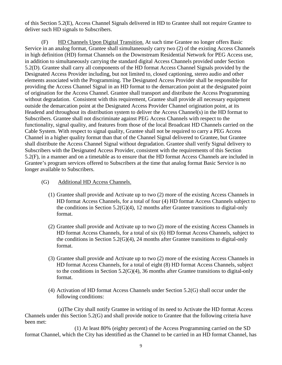of this Section 5.2(E), Access Channel Signals delivered in HD to Grantee shall not require Grantee to deliver such HD signals to Subscribers.

(F) HD Channels Upon Digital Transition. At such time Grantee no longer offers Basic Service in an analog format, Grantee shall simultaneously carry two (2) of the existing Access Channels in high definition (HD) format Channels on the Downstream Residential Network for PEG Access use, in addition to simultaneously carrying the standard digital Access Channels provided under Section 5.2(D). Grantee shall carry all components of the HD format Access Channel Signals provided by the Designated Access Provider including, but not limited to, closed captioning, stereo audio and other elements associated with the Programming. The Designated Access Provider shall be responsible for providing the Access Channel Signal in an HD format to the demarcation point at the designated point of origination for the Access Channel. Grantee shall transport and distribute the Access Programming without degradation. Consistent with this requirement, Grantee shall provide all necessary equipment outside the demarcation point at the Designated Access Provider Channel origination point, at its Headend and throughout its distribution system to deliver the Access Channel(s) in the HD format to Subscribers. Grantee shall not discriminate against PEG Access Channels with respect to the functionality, signal quality, and features from those of the local Broadcast HD Channels carried on the Cable System. With respect to signal quality, Grantee shall not be required to carry a PEG Access Channel in a higher quality format than that of the Channel Signal delivered to Grantee, but Grantee shall distribute the Access Channel Signal without degradation. Grantee shall verify Signal delivery to Subscribers with the Designated Access Provider, consistent with the requirements of this Section 5.2(F), in a manner and on a timetable as to ensure that the HD format Access Channels are included in Grantee's program services offered to Subscribers at the time that analog format Basic Service is no longer available to Subscribers.

#### (G) Additional HD Access Channels.

- (1) Grantee shall provide and Activate up to two (2) more of the existing Access Channels in HD format Access Channels, for a total of four (4) HD format Access Channels subject to the conditions in Section  $5.2(G)(4)$ , 12 months after Grantee transitions to digital-only format.
- (2) Grantee shall provide and Activate up to two (2) more of the existing Access Channels in HD format Access Channels, for a total of six (6) HD format Access Channels, subject to the conditions in Section 5.2(G)(4), 24 months after Grantee transitions to digital-only format.
- (3) Grantee shall provide and Activate up to two (2) more of the existing Access Channels in HD format Access Channels, for a total of eight (8) HD format Access Channels, subject to the conditions in Section 5.2(G)(4), 36 months after Grantee transitions to digital-only format.
- (4) Activation of HD format Access Channels under Section 5.2(G) shall occur under the following conditions:

(a)The City shall notify Grantee in writing of its need to Activate the HD format Access Channels under this Section 5.2(G) and shall provide notice to Grantee that the following criteria have been met:

(1) At least 80% (eighty percent) of the Access Programming carried on the SD format Channel, which the City has identified as the Channel to be carried in an HD format Channel, has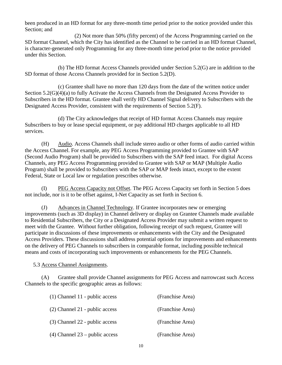been produced in an HD format for any three-month time period prior to the notice provided under this Section; and

(2) Not more than 50% (fifty percent) of the Access Programming carried on the SD format Channel, which the City has identified as the Channel to be carried in an HD format Channel, is character-generated only Programming for any three-month time period prior to the notice provided under this Section.

(b) The HD format Access Channels provided under Section 5.2(G) are in addition to the SD format of those Access Channels provided for in Section 5.2(D).

(c) Grantee shall have no more than 120 days from the date of the written notice under Section 5.2(G)(4)(a) to fully Activate the Access Channels from the Designated Access Provider to Subscribers in the HD format. Grantee shall verify HD Channel Signal delivery to Subscribers with the Designated Access Provider, consistent with the requirements of Section 5.2(F).

(d) The City acknowledges that receipt of HD format Access Channels may require Subscribers to buy or lease special equipment, or pay additional HD charges applicable to all HD services.

(H) Audio. Access Channels shall include stereo audio or other forms of audio carried within the Access Channel. For example, any PEG Access Programming provided to Grantee with SAP (Second Audio Program) shall be provided to Subscribers with the SAP feed intact. For digital Access Channels, any PEG Access Programming provided to Grantee with SAP or MAP (Multiple Audio Program) shall be provided to Subscribers with the SAP or MAP feeds intact, except to the extent Federal, State or Local law or regulation prescribes otherwise.

(I) PEG Access Capacity not Offset. The PEG Access Capacity set forth in Section 5 does not include, nor is it to be offset against, I-Net Capacity as set forth in Section 6.

(J) Advances in Channel Technology. If Grantee incorporates new or emerging improvements (such as 3D display) in Channel delivery or display on Grantee Channels made available to Residential Subscribers, the City or a Designated Access Provider may submit a written request to meet with the Grantee. Without further obligation, following receipt of such request, Grantee will participate in discussions of these improvements or enhancements with the City and the Designated Access Providers. These discussions shall address potential options for improvements and enhancements on the delivery of PEG Channels to subscribers in comparable format, including possible technical means and costs of incorporating such improvements or enhancements for the PEG Channels.

<span id="page-15-0"></span>5.3 Access Channel Assignments.

(A) Grantee shall provide Channel assignments for PEG Access and narrowcast such Access Channels to the specific geographic areas as follows:

| $(1)$ Channel 11 - public access | (Franchise Area) |
|----------------------------------|------------------|
| (2) Channel 21 - public access   | (Franchise Area) |
| (3) Channel 22 - public access   | (Franchise Area) |
| $(4)$ Channel 23 – public access | (Franchise Area) |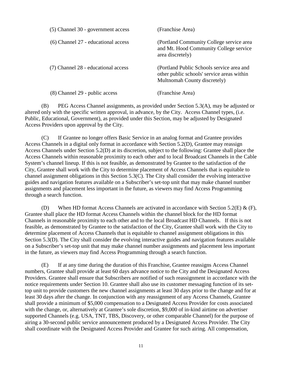| (5) Channel 30 - government access  | (Franchise Area)                                                                                                        |
|-------------------------------------|-------------------------------------------------------------------------------------------------------------------------|
| (6) Channel 27 - educational access | (Portland Community College service area<br>and Mt. Hood Community College service<br>area discretely)                  |
| (7) Channel 28 - educational access | (Portland Public Schools service area and<br>other public schools' service areas within<br>Multnomah County discretely) |
| (8) Channel 29 - public access      | (Franchise Area)                                                                                                        |

(B) PEG Access Channel assignments, as provided under Section 5.3(A), may be adjusted or altered only with the specific written approval, in advance, by the City. Access Channel types, (i.e. Public, Educational, Government), as provided under this Section, may be adjusted by Designated Access Providers upon approval by the City.

(C) If Grantee no longer offers Basic Service in an analog format and Grantee provides Access Channels in a digital only format in accordance with Section 5.2(D), Grantee may reassign Access Channels under Section 5.2(D) at its discretion, subject to the following: Grantee shall place the Access Channels within reasonable proximity to each other and to local Broadcast Channels in the Cable System's channel lineup. If this is not feasible, as demonstrated by Grantee to the satisfaction of the City, Grantee shall work with the City to determine placement of Access Channels that is equitable to channel assignment obligations in this Section 5.3(C). The City shall consider the evolving interactive guides and navigation features available on a Subscriber's set-top unit that may make channel number assignments and placement less important in the future, as viewers may find Access Programming through a search function.

(D) When HD format Access Channels are activated in accordance with Section 5.2(E) &  $(F)$ , Grantee shall place the HD format Access Channels within the channel block for the HD format Channels in reasonable proximity to each other and to the local Broadcast HD Channels. If this is not feasible, as demonstrated by Grantee to the satisfaction of the City, Grantee shall work with the City to determine placement of Access Channels that is equitable to channel assignment obligations in this Section 5.3(D). The City shall consider the evolving interactive guides and navigation features available on a Subscriber's set-top unit that may make channel number assignments and placement less important in the future, as viewers may find Access Programming through a search function.

(E) If at any time during the duration of this Franchise, Grantee reassigns Access Channel numbers, Grantee shall provide at least 60 days advance notice to the City and the Designated Access Providers. Grantee shall ensure that Subscribers are notified of such reassignment in accordance with the notice requirements under Section 10. Grantee shall also use its customer messaging function of its settop unit to provide customers the new channel assignments at least 30 days prior to the change and for at least 30 days after the change. In conjunction with any reassignment of any Access Channels, Grantee shall provide a minimum of \$5,000 compensation to a Designated Access Provider for costs associated with the change, or, alternatively at Grantee's sole discretion, \$9,000 of in-kind airtime on advertiser supported Channels (e.g. USA, TNT, TBS, Discovery, or other comparable Channel) for the purpose of airing a 30-second public service announcement produced by a Designated Access Provider. The City shall coordinate with the Designated Access Provider and Grantee for such airing. All compensation,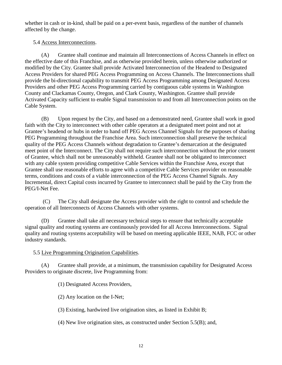whether in cash or in-kind, shall be paid on a per-event basis, regardless of the number of channels affected by the change.

### <span id="page-17-0"></span>5.4 Access Interconnections.

(A) Grantee shall continue and maintain all Interconnections of Access Channels in effect on the effective date of this Franchise, and as otherwise provided herein, unless otherwise authorized or modified by the City. Grantee shall provide Activated Interconnection of the Headend to Designated Access Providers for shared PEG Access Programming on Access Channels. The Interconnections shall provide the bi-directional capability to transmit PEG Access Programming among Designated Access Providers and other PEG Access Programming carried by contiguous cable systems in Washington County and Clackamas County, Oregon, and Clark County, Washington. Grantee shall provide Activated Capacity sufficient to enable Signal transmission to and from all Interconnection points on the Cable System.

(B) Upon request by the City, and based on a demonstrated need, Grantee shall work in good faith with the City to interconnect with other cable operators at a designated meet point and not at Grantee's headend or hubs in order to hand off PEG Access Channel Signals for the purposes of sharing PEG Programming throughout the Franchise Area. Such interconnection shall preserve the technical quality of the PEG Access Channels without degradation to Grantee's demarcation at the designated meet point of the Interconnect. The City shall not require such interconnection without the prior consent of Grantee, which shall not be unreasonably withheld. Grantee shall not be obligated to interconnect with any cable system providing competitive Cable Services within the Franchise Area, except that Grantee shall use reasonable efforts to agree with a competitive Cable Services provider on reasonable terms, conditions and costs of a viable interconnection of the PEG Access Channel Signals. Any Incremental, direct Capital costs incurred by Grantee to interconnect shall be paid by the City from the PEG/I-Net Fee.

(C) The City shall designate the Access provider with the right to control and schedule the operation of all Interconnects of Access Channels with other systems.

(D) Grantee shall take all necessary technical steps to ensure that technically acceptable signal quality and routing systems are continuously provided for all Access Interconnections. Signal quality and routing systems acceptability will be based on meeting applicable IEEE, NAB, FCC or other industry standards.

## <span id="page-17-1"></span>5.5 Live Programming Origination Capabilities.

(A) Grantee shall provide, at a minimum, the transmission capability for Designated Access Providers to originate discrete, live Programming from:

(1) Designated Access Providers,

(2) Any location on the I-Net;

(3) Existing, hardwired live origination sites, as listed in Exhibit B;

(4) New live origination sites, as constructed under Section 5.5(B); and,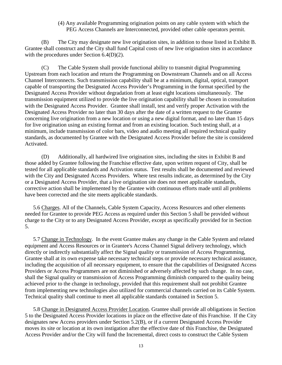#### (4) Any available Programming origination points on any cable system with which the PEG Access Channels are Interconnected, provided other cable operators permit.

(B) The City may designate new live origination sites, in addition to those listed in Exhibit B. Grantee shall construct and the City shall fund Capital costs of new live origination sites in accordance with the procedures under Section 6.4(D)(2).

(C) The Cable System shall provide functional ability to transmit digital Programming Upstream from each location and return the Programming on Downstream Channels and on all Access Channel Interconnects. Such transmission capability shall be at a minimum, digital, optical, transport capable of transporting the Designated Access Provider's Programming in the format specified by the Designated Access Provider without degradation from at least eight locations simultaneously. The transmission equipment utilized to provide the live origination capability shall be chosen in consultation with the Designated Access Provider. Grantee shall install, test and verify proper Activation with the Designated Access Provider no later than 30 days after the date of a written request to the Grantee concerning live origination from a new location or using a new digital format, and no later than 15 days for live origination using an existing format and from an existing location. Such testing shall, at a minimum, include transmission of color bars, video and audio meeting all required technical quality standards, as documented by Grantee with the Designated Access Provider before the site is considered Activated.

(D) Additionally, all hardwired live origination sites, including the sites in Exhibit B and those added by Grantee following the Franchise effective date, upon written request of City, shall be tested for all applicable standards and Activation status. Test results shall be documented and reviewed with the City and Designated Access Providers. Where test results indicate, as determined by the City or a Designated Access Provider, that a live origination site does not meet applicable standards, corrective action shall be implemented by the Grantee with continuous efforts made until all problems have been corrected and the site meets applicable standards.

<span id="page-18-0"></span>5.6 Charges. All of the Channels, Cable System Capacity, Access Resources and other elements needed for Grantee to provide PEG Access as required under this Section 5 shall be provided without charge to the City or to any Designated Access Provider, except as specifically provided for in Section 5.

<span id="page-18-1"></span>5.7 Change in Technology. In the event Grantee makes any change in the Cable System and related equipment and Access Resources or in Grantee's Access Channel Signal delivery technology, which directly or indirectly substantially affect the Signal quality or transmission of Access Programming, Grantee shall at its own expense take necessary technical steps or provide necessary technical assistance, including the acquisition of all necessary equipment, to ensure that the capabilities of Designated Access Providers or Access Programmers are not diminished or adversely affected by such change. In no case, shall the Signal quality or transmission of Access Programming diminish compared to the quality being achieved prior to the change in technology, provided that this requirement shall not prohibit Grantee from implementing new technologies also utilized for commercial channels carried on its Cable System. Technical quality shall continue to meet all applicable standards contained in Section 5.

<span id="page-18-2"></span>5.8 Change in Designated Access Provider Location. Grantee shall provide all obligations in Section 5 to the Designated Access Provider locations in place on the effective date of this Franchise. If the City designates new Access providers under Section 5.2(B), or if a current Designated Access Provider moves its site or location at its own instigation after the effective date of this Franchise, the Designated Access Provider and/or the City will fund the Incremental, direct costs to construct the Cable System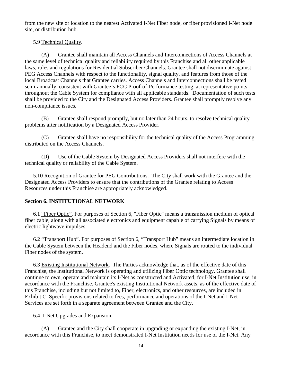from the new site or location to the nearest Activated I-Net Fiber node, or fiber provisioned I-Net node site, or distribution hub.

### <span id="page-19-0"></span>5.9 Technical Quality.

(A) Grantee shall maintain all Access Channels and Interconnections of Access Channels at the same level of technical quality and reliability required by this Franchise and all other applicable laws, rules and regulations for Residential Subscriber Channels. Grantee shall not discriminate against PEG Access Channels with respect to the functionality, signal quality, and features from those of the local Broadcast Channels that Grantee carries. Access Channels and Interconnections shall be tested semi-annually, consistent with Grantee's FCC Proof-of-Performance testing, at representative points throughout the Cable System for compliance with all applicable standards. Documentation of such tests shall be provided to the City and the Designated Access Providers. Grantee shall promptly resolve any non-compliance issues.

(B) Grantee shall respond promptly, but no later than 24 hours, to resolve technical quality problems after notification by a Designated Access Provider.

(C) Grantee shall have no responsibility for the technical quality of the Access Programming distributed on the Access Channels.

(D) Use of the Cable System by Designated Access Providers shall not interfere with the technical quality or reliability of the Cable System.

<span id="page-19-1"></span>5.10 Recognition of Grantee for PEG Contributions. The City shall work with the Grantee and the Designated Access Providers to ensure that the contributions of the Grantee relating to Access Resources under this Franchise are appropriately acknowledged.

### <span id="page-19-2"></span>**Section 6. INSTITUTIONAL NETWORK**

6.1 "Fiber Optic". For purposes of Section 6, "Fiber Optic" means a transmission medium of optical fiber cable, along with all associated electronics and equipment capable of carrying Signals by means of electric lightwave impulses.

6.2 "Transport Hub". For purposes of Section 6, "Transport Hub" means an intermediate location in the Cable System between the Headend and the Fiber nodes, where Signals are routed to the individual Fiber nodes of the system.

<span id="page-19-3"></span>6.3 Existing Institutional Network. The Parties acknowledge that, as of the effective date of this Franchise, the Institutional Network is operating and utilizing Fiber Optic technology. Grantee shall continue to own, operate and maintain its I-Net as constructed and Activated, for I-Net Institution use, in accordance with the Franchise. Grantee's existing Institutional Network assets, as of the effective date of this Franchise, including but not limited to, Fiber, electronics, and other resources, are included in Exhibit C. Specific provisions related to fees, performance and operations of the I-Net and I-Net Services are set forth in a separate agreement between Grantee and the City.

### <span id="page-19-4"></span>6.4 I-Net Upgrades and Expansion.

(A) Grantee and the City shall cooperate in upgrading or expanding the existing I-Net, in accordance with this Franchise, to meet demonstrated I-Net Institution needs for use of the I-Net. Any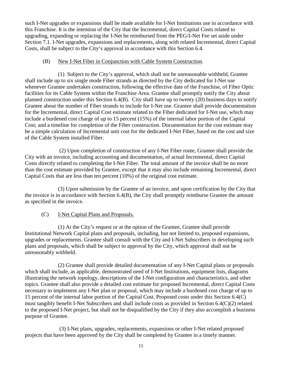such I-Net upgrades or expansions shall be made available for I-Net Institutions use in accordance with this Franchise. It is the intention of the City that the Incremental, direct Capital Costs related to upgrading, expanding or replacing the I-Net be reimbursed from the PEG/I-Net Fee set aside under Section 7.1. I-Net upgrades, expansions and replacements, along with related Incremental, direct Capital Costs, shall be subject to the City's approval in accordance with this Section 6.4.

#### (B) New I-Net Fiber in Conjunction with Cable System Construction.

(1) Subject to the City's approval, which shall not be unreasonable withheld, Grantee shall include up to six single mode Fiber strands as directed by the City dedicated for I-Net use whenever Grantee undertakes construction, following the effective date of the Franchise, of Fiber Optic facilities for its Cable System within the Franchise Area. Grantee shall promptly notify the City about planned construction under this Section 6.4(B). City shall have up to twenty (20) business days to notify Grantee about the number of Fiber strands to include for I-Net use. Grantee shall provide documentation for the Incremental, direct Capital Cost estimate related to the Fiber dedicated for I-Net use, which may include a burdened cost charge of up to 15 percent (15%) of the internal labor portion of the Capital Cost; and a timeline for completion of the Fiber construction. Documentation for the cost estimate may be a simple calculation of Incremental unit cost for the dedicated I-Net Fiber, based on the cost and size of the Cable System installed Fiber.

(2) Upon completion of construction of any I-Net Fiber route, Grantee shall provide the City with an invoice, including accounting and documentation, of actual Incremental, direct Capital Costs directly related to completing the I-Net Fiber. The total amount of the invoice shall be no more than the cost estimate provided by Grantee, except that it may also include remaining Incremental, direct Capital Costs that are less than ten percent (10%) of the original cost estimate.

(3) Upon submission by the Grantee of an invoice, and upon certification by the City that the invoice is in accordance with Section 6.4(B), the City shall promptly reimburse Grantee the amount as specified in the invoice.

## (C) I-Net Capital Plans and Proposals.

(1) At the City's request or at the option of the Grantee, Grantee shall provide Institutional Network Capital plans and proposals, including, but not limited to, proposed expansions, upgrades or replacements. Grantee shall consult with the City and I-Net Subscribers in developing such plans and proposals, which shall be subject to approval by the City, which approval shall not be unreasonably withheld.

(2) Grantee shall provide detailed documentation of any I-Net Capital plans or proposals which shall include, as applicable, demonstrated need of I-Net Institutions, equipment lists, diagrams illustrating the network topology, descriptions of the I-Net configuration and characteristics, and other topics. Grantee shall also provide a detailed cost estimate for proposed Incremental, direct Capital Costs necessary to implement any I-Net plan or proposal, which may include a burdened cost charge of up to 15 percent of the internal labor portion of the Capital Cost. Proposed costs under this Section 6.4(C) must tangibly benefit I-Net Subscribers and shall include costs as provided in Section 6.4(C)(2) related to the proposed I-Net project, but shall not be disqualified by the City if they also accomplish a business purpose of Grantee.

(3) I-Net plans, upgrades, replacements, expansions or other I-Net related proposed projects that have been approved by the City shall be completed by Grantee in a timely manner.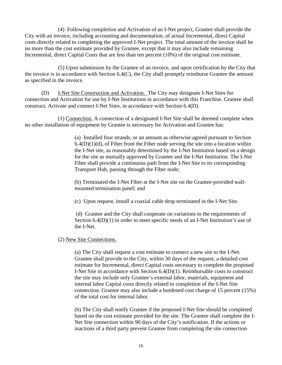(4) Following completion and Activation of an I-Net project, Grantee shall provide the City with an invoice, including accounting and documentation, of actual Incremental, direct Capital costs directly related to completing the approved I-Net project. The total amount of the invoice shall be no more than the cost estimate provided by Grantee, except that it may also include remaining Incremental, direct Capital Costs that are less than ten percent (10%) of the original cost estimate.

(5) Upon submission by the Grantee of an invoice, and upon certification by the City that the invoice is in accordance with Section 6.4(C), the City shall promptly reimburse Grantee the amount as specified in the invoice.

(D) I-Net Site Construction and Activation. The City may designate I-Net Sites for connection and Activation for use by I-Net Institutions in accordance with this Franchise. Grantee shall construct, Activate and connect I-Net Sites, in accordance with Section 6.4(D).

(1) Connection. A connection of a designated I-Net Site shall be deemed complete when no other installation of equipment by Grantee is necessary for Activation and Grantee has:

> (a) Installed four strands, or an amount as otherwise agreed pursuant to Section  $6.4(D)(1)(d)$ , of Fiber from the Fiber node serving the site into a location within the I-Net site, as reasonably determined by the I-Net Institution based on a design for the site as mutually approved by Grantee and the I-Net Institution. The I-Net Fiber shall provide a continuous path from the I-Net Site to its corresponding Transport Hub, passing through the Fiber node;

(b) Terminated the I-Net Fiber at the I-Net site on the Grantee-provided wallmounted termination panel; and

(c) Upon request, install a coaxial cable drop terminated in the I-Net Site.

(d) Grantee and the City shall cooperate on variations to the requirements of Section  $6.4(D)(1)$  in order to meet specific needs of an I-Net Institution's use of the I-Net.

(2) New Site Connections.

(a) The City shall request a cost estimate to connect a new site to the I-Net. Grantee shall provide to the City, within 30 days of the request, a detailed cost estimate for Incremental, direct Capital costs necessary to complete the proposed I-Net Site in accordance with Section 6.4(D)(1). Reimbursable costs to construct the site may include only Grantee's external labor, materials, equipment and internal labor Capital costs directly related to completion of the I-Net Site connection. Grantee may also include a burdened cost charge of 15 percent (15%) of the total cost for internal labor.

(b) The City shall notify Grantee if the proposed I-Net Site should be completed based on the cost estimate provided for the site. The Grantee shall complete the I-Net Site connection within 90 days of the City's notification. If the actions or inactions of a third party prevent Grantee from completing the site connection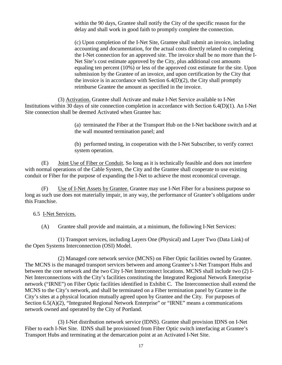within the 90 days, Grantee shall notify the City of the specific reason for the delay and shall work in good faith to promptly complete the connection.

(c) Upon completion of the I-Net Site, Grantee shall submit an invoice, including accounting and documentation, for the actual costs directly related to completing the I-Net connection for an approved site. The invoice shall be no more than the I-Net Site's cost estimate approved by the City, plus additional cost amounts equaling ten percent (10%) or less of the approved cost estimate for the site. Upon submission by the Grantee of an invoice, and upon certification by the City that the invoice is in accordance with Section  $6.4(D)(2)$ , the City shall promptly reimburse Grantee the amount as specified in the invoice.

(3) Activation. Grantee shall Activate and make I-Net Service available to I-Net Institutions within 30 days of site connection completion in accordance with Section 6.4(D)(1). An I-Net Site connection shall be deemed Activated when Grantee has:

> (a) terminated the Fiber at the Transport Hub on the I-Net backbone switch and at the wall mounted termination panel; and

(b) performed testing, in cooperation with the I-Net Subscriber, to verify correct system operation.

(E) Joint Use of Fiber or Conduit. So long as it is technically feasible and does not interfere with normal operations of the Cable System, the City and the Grantee shall cooperate to use existing conduit or Fiber for the purpose of expanding the I-Net to achieve the most economical coverage.

(F) Use of I-Net Assets by Grantee. Grantee may use I-Net Fiber for a business purpose so long as such use does not materially impair, in any way, the performance of Grantee's obligations under this Franchise.

### <span id="page-22-0"></span>6.5 I-Net Services.

(A) Grantee shall provide and maintain, at a minimum, the following I-Net Services:

(1) Transport services, including Layers One (Physical) and Layer Two (Data Link) of the Open Systems Interconnection (OSI) Model.

(2) Managed core network service (MCNS) on Fiber Optic facilities owned by Grantee. The MCNS is the managed transport services between and among Grantee's I-Net Transport Hubs and between the core network and the two City I-Net Interconnect locations. MCNS shall include two (2) I-Net Interconnections with the City's facilities constituting the Integrated Regional Network Enterprise network ("IRNE") on Fiber Optic facilities identified in Exhibit C. The Interconnection shall extend the MCNS to the City's network, and shall be terminated on a Fiber termination panel by Grantee in the City's sites at a physical location mutually agreed upon by Grantee and the City. For purposes of Section 6.5(A)(2), "Integrated Regional Network Enterprise" or "IRNE" means a communications network owned and operated by the City of Portland.

(3) I-Net distribution network service (IDNS). Grantee shall provision IDNS on I-Net Fiber to each I-Net Site. IDNS shall be provisioned from Fiber Optic switch interfacing at Grantee's Transport Hubs and terminating at the demarcation point at an Activated I-Net Site.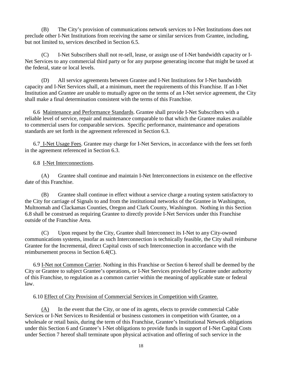(B) The City's provision of communications network services to I-Net Institutions does not preclude other I-Net Institutions from receiving the same or similar services from Grantee, including, but not limited to, services described in Section 6.5.

(C) I-Net Subscribers shall not re-sell, lease, or assign use of I-Net bandwidth capacity or I-Net Services to any commercial third party or for any purpose generating income that might be taxed at the federal, state or local levels.

(D) All service agreements between Grantee and I-Net Institutions for I-Net bandwidth capacity and I-Net Services shall, at a minimum, meet the requirements of this Franchise. If an I-Net Institution and Grantee are unable to mutually agree on the terms of an I-Net service agreement, the City shall make a final determination consistent with the terms of this Franchise.

<span id="page-23-0"></span>6.6 Maintenance and Performance Standards. Grantee shall provide I-Net Subscribers with a reliable level of service, repair and maintenance comparable to that which the Grantee makes available to commercial users for comparable services. Specific performance, maintenance and operations standards are set forth in the agreement referenced in Section 6.3.

<span id="page-23-1"></span>6.7 I-Net Usage Fees. Grantee may charge for I-Net Services, in accordance with the fees set forth in the agreement referenced in Section 6.3.

<span id="page-23-2"></span>6.8 I-Net Interconnections.

(A) Grantee shall continue and maintain I-Net Interconnections in existence on the effective date of this Franchise.

(B) Grantee shall continue in effect without a service charge a routing system satisfactory to the City for carriage of Signals to and from the institutional networks of the Grantee in Washington, Multnomah and Clackamas Counties, Oregon and Clark County, Washington. Nothing in this Section 6.8 shall be construed as requiring Grantee to directly provide I-Net Services under this Franchise outside of the Franchise Area.

(C) Upon request by the City, Grantee shall Interconnect its I-Net to any City-owned communications systems, insofar as such Interconnection is technically feasible, the City shall reimburse Grantee for the Incremental, direct Capital costs of such Interconnection in accordance with the reimbursement process in Section 6.4(C).

<span id="page-23-3"></span>6.9 I-Net not Common Carrier. Nothing in this Franchise or Section 6 hereof shall be deemed by the City or Grantee to subject Grantee's operations, or I-Net Services provided by Grantee under authority of this Franchise, to regulation as a common carrier within the meaning of applicable state or federal law.

### <span id="page-23-4"></span>6.10 Effect of City Provision of Commercial Services in Competition with Grantee.

(A) In the event that the City, or one of its agents, elects to provide commercial Cable Services or I-Net Services to Residential or business customers in competition with Grantee, on a wholesale or retail basis, during the term of this Franchise, Grantee's Institutional Network obligations under this Section 6 and Grantee's I-Net obligations to provide funds in support of I-Net Capital Costs under Section 7 hereof shall terminate upon physical activation and offering of such service in the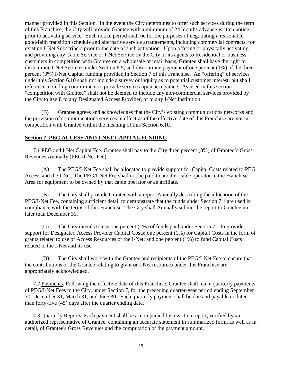manner provided in this Section. In the event the City determines to offer such services during the term of this Franchise, the City will provide Grantee with a minimum of 24 months advance written notice prior to activating service. Such notice period shall be for the purposes of negotiating a reasonable good-faith transition schedule and alternative service arrangements, including commercial contracts, for existing I-Net Subscribers prior to the date of such activation. Upon offering or physically activating and providing any Cable Service or I-Net Service by the City or its agents to Residential or business customers in competition with Grantee on a wholesale or retail basis, Grantee shall have the right to discontinue I-Net Services under Section 6.5, and discontinue payment of one percent (1%) of the three percent (3%) I-Net Capital funding provided in Section 7 of this Franchise. An "offering" of services under this Section 6.10 shall not include a survey or inquiry as to potential customer interest, but shall reference a binding commitment to provide services upon acceptance. As used in this section "competition with Grantee" shall not be deemed to include any non-commercial services provided by the City to itself, to any Designated Access Provider, or to any I-Net Institution.

(B) Grantee agrees and acknowledges that the City's existing communications networks and the provision of communications services in effect as of the effective date of this Franchise are not in competition with Grantee within the meaning of this Section 6.10.

#### <span id="page-24-0"></span>**Section 7. PEG ACCESS AND I-NET CAPITAL FUNDING**

<span id="page-24-1"></span>7.1 PEG and I-Net Capital Fee. Grantee shall pay to the City three percent (3%) of Grantee's Gross Revenues Annually (PEG/I-Net Fee).

(A) The PEG/I-Net Fee shall be allocated to provide support for Capital Costs related to PEG Access and the I-Net. The PEG/I-Net Fee shall not be paid to another cable operator in the Franchise Area for equipment to be owned by that cable operator or an affiliate.

(B) The City shall provide Grantee with a report Annually describing the allocation of the PEG/I-Net Fee, containing sufficient detail to demonstrate that the funds under Section 7.1 are used in compliance with the terms of this Franchise. The City shall Annually submit the report to Grantee no later than December 31.

(C) The City intends to use one percent (1%) of funds paid under Section 7.1 to provide support for Designated Access Provider Capital Costs; one percent (1%) for Capital Costs in the form of grants related to use of Access Resources or the I-Net; and one percent (1%) to fund Capital Costs related to the I-Net and its use.

(D) The City shall work with the Grantee and recipients of the PEG/I-Net Fee to ensure that the contributions of the Grantee relating to grant or I-Net resources under this Franchise are appropriately acknowledged.

<span id="page-24-2"></span>7.2 Payments. Following the effective date of this Franchise, Grantee shall make quarterly payments of PEG/I-Net Fees to the City, under Section 7, for the preceding quarter-year period ending September 30, December 31, March 31, and June 30. Each quarterly payment shall be due and payable no later than forty-five (45) days after the quarter ending date.

<span id="page-24-3"></span>7.3 Quarterly Reports. Each payment shall be accompanied by a written report, verified by an authorized representative of Grantee, containing an accurate statement in summarized form, as well as in detail, of Grantee's Gross Revenues and the computation of the payment amount.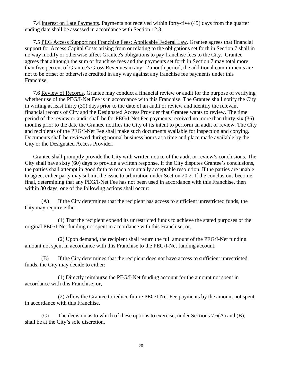<span id="page-25-0"></span>7.4 Interest on Late Payments. Payments not received within forty-five (45) days from the quarter ending date shall be assessed in accordance with Section 12.3.

<span id="page-25-1"></span>7.5 PEG Access Support not Franchise Fees; Applicable Federal Law. Grantee agrees that financial support for Access Capital Costs arising from or relating to the obligations set forth in Section 7 shall in no way modify or otherwise affect Grantee's obligations to pay franchise fees to the City. Grantee agrees that although the sum of franchise fees and the payments set forth in Section 7 may total more than five percent of Grantee's Gross Revenues in any 12-month period, the additional commitments are not to be offset or otherwise credited in any way against any franchise fee payments under this Franchise.

<span id="page-25-2"></span>7.6 Review of Records. Grantee may conduct a financial review or audit for the purpose of verifying whether use of the PEG/I-Net Fee is in accordance with this Franchise. The Grantee shall notify the City in writing at least thirty (30) days prior to the date of an audit or review and identify the relevant financial records of City and the Designated Access Provider that Grantee wants to review. The time period of the review or audit shall be for PEG/I-Net Fee payments received no more than thirty-six (36) months prior to the date the Grantee notifies the City of its intent to perform an audit or review. The City and recipients of the PEG/I-Net Fee shall make such documents available for inspection and copying. Documents shall be reviewed during normal business hours at a time and place made available by the City or the Designated Access Provider.

Grantee shall promptly provide the City with written notice of the audit or review's conclusions. The City shall have sixty (60) days to provide a written response. If the City disputes Grantee's conclusions, the parties shall attempt in good faith to reach a mutually acceptable resolution. If the parties are unable to agree, either party may submit the issue to arbitration under Section 20.2. If the conclusions become final, determining that any PEG/I-Net Fee has not been used in accordance with this Franchise, then within 30 days, one of the following actions shall occur:

(A) If the City determines that the recipient has access to sufficient unrestricted funds, the City may require either:

(1) That the recipient expend its unrestricted funds to achieve the stated purposes of the original PEG/I-Net funding not spent in accordance with this Franchise; or,

(2) Upon demand, the recipient shall return the full amount of the PEG/I-Net funding amount not spent in accordance with this Franchise to the PEG/I-Net funding account.

(B) If the City determines that the recipient does not have access to sufficient unrestricted funds, the City may decide to either:

(1) Directly reimburse the PEG/I-Net funding account for the amount not spent in accordance with this Franchise; or,

(2) Allow the Grantee to reduce future PEG/I-Net Fee payments by the amount not spent in accordance with this Franchise.

(C) The decision as to which of these options to exercise, under Sections 7.6(A) and (B), shall be at the City's sole discretion.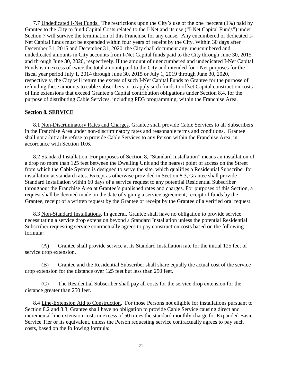<span id="page-26-0"></span>7.7 Undedicated I-Net Funds. The restrictions upon the City's use of the one percent (1%) paid by Grantee to the City to fund Capital Costs related to the I-Net and its use ("I-Net Capital Funds") under Section 7 will survive the termination of this Franchise for any cause. Any encumbered or dedicated I-Net Capital funds must be expended within four years of receipt by the City. Within 30 days after December 31, 2015 and December 31, 2020, the City shall document any unencumbered and undedicated amounts in City accounts from I-Net Capital funds paid to the City through June 30, 2015 and through June 30, 2020, respectively. If the amount of unencumbered and undedicated I-Net Capital Funds is in excess of twice the total amount paid to the City and intended for I-Net purposes for the fiscal year period July 1, 2014 through June 30, 2015 or July 1, 2019 through June 30, 2020, respectively, the City will return the excess of such I-Net Capital Funds to Grantee for the purpose of refunding these amounts to cable subscribers or to apply such funds to offset Capital construction costs of line extensions that exceed Grantee's Capital contribution obligations under Section 8.4, for the purpose of distributing Cable Services, including PEG programming, within the Franchise Area.

#### <span id="page-26-1"></span>**Section 8. SERVICE**

<span id="page-26-2"></span>8.1 Non-Discriminatory Rates and Charges. Grantee shall provide Cable Services to all Subscribers in the Franchise Area under non-discriminatory rates and reasonable terms and conditions. Grantee shall not arbitrarily refuse to provide Cable Services to any Person within the Franchise Area, in accordance with Section 10.6.

<span id="page-26-3"></span>8.2 Standard Installation. For purposes of Section 8, "Standard Installation" means an installation of a drop no more than 125 feet between the Dwelling Unit and the nearest point of access on the Street from which the Cable System is designed to serve the site, which qualifies a Residential Subscriber for installation at standard rates. Except as otherwise provided in Section 8.3, Grantee shall provide Standard Installation within 60 days of a service request to any potential Residential Subscriber throughout the Franchise Area at Grantee's published rates and charges. For purposes of this Section, a request shall be deemed made on the date of signing a service agreement, receipt of funds by the Grantee, receipt of a written request by the Grantee or receipt by the Grantee of a verified oral request.

<span id="page-26-4"></span>8.3 Non-Standard Installations. In general, Grantee shall have no obligation to provide service necessitating a service drop extension beyond a Standard Installation unless the potential Residential Subscriber requesting service contractually agrees to pay construction costs based on the following formula:

(A) Grantee shall provide service at its Standard Installation rate for the initial 125 feet of service drop extension.

(B) Grantee and the Residential Subscriber shall share equally the actual cost of the service drop extension for the distance over 125 feet but less than 250 feet.

(C) The Residential Subscriber shall pay all costs for the service drop extension for the distance greater than 250 feet.

<span id="page-26-5"></span>8.4 Line-Extension Aid to Construction. For those Persons not eligible for installations pursuant to Section 8.2 and 8.3, Grantee shall have no obligation to provide Cable Service causing direct and incremental line extension costs in excess of 50 times the standard monthly charge for Expanded Basic Service Tier or its equivalent, unless the Person requesting service contractually agrees to pay such costs, based on the following formula: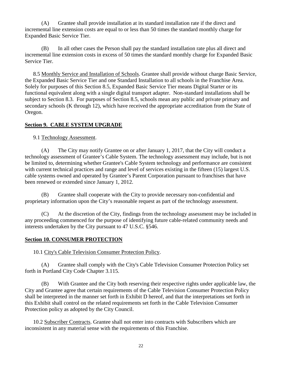(A) Grantee shall provide installation at its standard installation rate if the direct and incremental line extension costs are equal to or less than 50 times the standard monthly charge for Expanded Basic Service Tier.

(B) In all other cases the Person shall pay the standard installation rate plus all direct and incremental line extension costs in excess of 50 times the standard monthly charge for Expanded Basic Service Tier.

<span id="page-27-0"></span>8.5 Monthly Service and Installation of Schools. Grantee shall provide without charge Basic Service, the Expanded Basic Service Tier and one Standard Installation to all schools in the Franchise Area. Solely for purposes of this Section 8.5, Expanded Basic Service Tier means Digital Starter or its functional equivalent along with a single digital transport adapter. Non-standard installations shall be subject to Section 8.3. For purposes of Section 8.5, schools mean any public and private primary and secondary schools (K through 12), which have received the appropriate accreditation from the State of Oregon.

## <span id="page-27-1"></span>**Section 9. CABLE SYSTEM UPGRADE**

<span id="page-27-2"></span>9.1 Technology Assessment.

(A) The City may notify Grantee on or after January 1, 2017, that the City will conduct a technology assessment of Grantee's Cable System. The technology assessment may include, but is not be limited to, determining whether Grantee's Cable System technology and performance are consistent with current technical practices and range and level of services existing in the fifteen (15) largest U.S. cable systems owned and operated by Grantee's Parent Corporation pursuant to franchises that have been renewed or extended since January 1, 2012.

(B) Grantee shall cooperate with the City to provide necessary non-confidential and proprietary information upon the City's reasonable request as part of the technology assessment.

(C) At the discretion of the City, findings from the technology assessment may be included in any proceeding commenced for the purpose of identifying future cable-related community needs and interests undertaken by the City pursuant to 47 U.S.C. §546.

### <span id="page-27-3"></span>**Section 10. CONSUMER PROTECTION**

<span id="page-27-4"></span>10.1 City's Cable Television Consumer Protection Policy.

(A) Grantee shall comply with the City's Cable Television Consumer Protection Policy set forth in Portland City Code Chapter 3.115.

(B) With Grantee and the City both reserving their respective rights under applicable law, the City and Grantee agree that certain requirements of the Cable Television Consumer Protection Policy shall be interpreted in the manner set forth in Exhibit D hereof, and that the interpretations set forth in this Exhibit shall control on the related requirements set forth in the Cable Television Consumer Protection policy as adopted by the City Council.

<span id="page-27-5"></span>10.2 Subscriber Contracts. Grantee shall not enter into contracts with Subscribers which are inconsistent in any material sense with the requirements of this Franchise.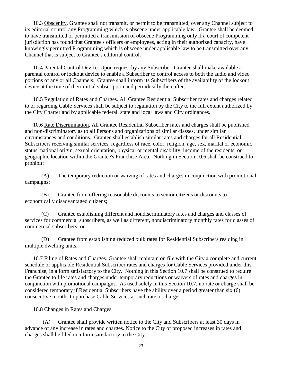<span id="page-28-0"></span>10.3 Obscenity. Grantee shall not transmit, or permit to be transmitted, over any Channel subject to its editorial control any Programming which is obscene under applicable law. Grantee shall be deemed to have transmitted or permitted a transmission of obscene Programming only if a court of competent jurisdiction has found that Grantee's officers or employees, acting in their authorized capacity, have knowingly permitted Programming which is obscene under applicable law to be transmitted over any Channel that is subject to Grantee's editorial control.

<span id="page-28-1"></span>10.4 Parental Control Device. Upon request by any Subscriber, Grantee shall make available a parental control or lockout device to enable a Subscriber to control access to both the audio and video portions of any or all Channels. Grantee shall inform its Subscribers of the availability of the lockout device at the time of their initial subscription and periodically thereafter.

<span id="page-28-2"></span>10.5 Regulation of Rates and Charges. All Grantee Residential Subscriber rates and charges related to or regarding Cable Services shall be subject to regulation by the City to the full extent authorized by the City Charter and by applicable federal, state and local laws and City ordinances.

<span id="page-28-3"></span>10.6 Rate Discrimination. All Grantee Residential Subscriber rates and charges shall be published and non-discriminatory as to all Persons and organizations of similar classes, under similar circumstances and conditions. Grantee shall establish similar rates and charges for all Residential Subscribers receiving similar services, regardless of race, color, religion, age, sex, marital or economic status, national origin, sexual orientation, physical or mental disability, income of the residents, or geographic location within the Grantee's Franchise Area. Nothing in Section 10.6 shall be construed to prohibit:

(A) The temporary reduction or waiving of rates and charges in conjunction with promotional campaigns;

(B) Grantee from offering reasonable discounts to senior citizens or discounts to economically disadvantaged citizens;

(C) Grantee establishing different and nondiscriminatory rates and charges and classes of services for commercial subscribers, as well as different, nondiscriminatory monthly rates for classes of commercial subscribers; or

(D) Grantee from establishing reduced bulk rates for Residential Subscribers residing in multiple dwelling units.

<span id="page-28-4"></span>10.7 Filing of Rates and Charges. Grantee shall maintain on file with the City a complete and current schedule of applicable Residential Subscriber rates and charges for Cable Services provided under this Franchise, in a form satisfactory to the City. Nothing in this Section 10.7 shall be construed to require the Grantee to file rates and charges under temporary reductions or waivers of rates and charges in conjunction with promotional campaigns. As used solely in this Section 10.7, no rate or charge shall be considered temporary if Residential Subscribers have the ability over a period greater than six (6) consecutive months to purchase Cable Services at such rate or charge.

<span id="page-28-5"></span>10.8 Changes in Rates and Charges.

(A) Grantee shall provide written notice to the City and Subscribers at least 30 days in advance of any increase in rates and charges. Notice to the City of proposed increases in rates and charges shall be filed in a form satisfactory to the City.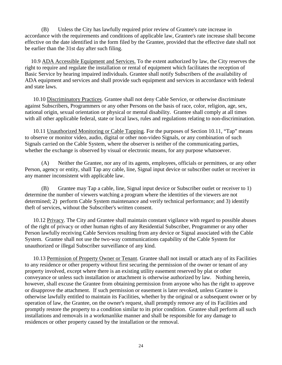(B) Unless the City has lawfully required prior review of Grantee's rate increase in accordance with the requirements and conditions of applicable law, Grantee's rate increase shall become effective on the date identified in the form filed by the Grantee, provided that the effective date shall not be earlier than the 31st day after such filing.

<span id="page-29-0"></span>10.9 ADA Accessible Equipment and Services. To the extent authorized by law, the City reserves the right to require and regulate the installation or rental of equipment which facilitates the reception of Basic Service by hearing impaired individuals. Grantee shall notify Subscribers of the availability of ADA equipment and services and shall provide such equipment and services in accordance with federal and state laws.

<span id="page-29-1"></span>10.10 Discriminatory Practices. Grantee shall not deny Cable Service, or otherwise discriminate against Subscribers, Programmers or any other Persons on the basis of race, color, religion, age, sex, national origin, sexual orientation or physical or mental disability. Grantee shall comply at all times with all other applicable federal, state or local laws, rules and regulations relating to non-discrimination.

<span id="page-29-2"></span>10.11 Unauthorized Monitoring or Cable Tapping. For the purposes of Section 10.11, "Tap" means to observe or monitor video, audio, digital or other non-video Signals, or any combination of such Signals carried on the Cable System, where the observer is neither of the communicating parties, whether the exchange is observed by visual or electronic means, for any purpose whatsoever.

(A) Neither the Grantee, nor any of its agents, employees, officials or permittees, or any other Person, agency or entity, shall Tap any cable, line, Signal input device or subscriber outlet or receiver in any manner inconsistent with applicable law.

(B) Grantee may Tap a cable, line, Signal input device or Subscriber outlet or receiver to 1) determine the number of viewers watching a program where the identities of the viewers are not determined; 2) perform Cable System maintenance and verify technical performance; and 3) identify theft of services, without the Subscriber's written consent.

<span id="page-29-3"></span>10.12 Privacy. The City and Grantee shall maintain constant vigilance with regard to possible abuses of the right of privacy or other human rights of any Residential Subscriber, Programmer or any other Person lawfully receiving Cable Services resulting from any device or Signal associated with the Cable System. Grantee shall not use the two-way communications capability of the Cable System for unauthorized or illegal Subscriber surveillance of any kind.

<span id="page-29-4"></span>10.13 Permission of Property Owner or Tenant. Grantee shall not install or attach any of its Facilities to any residence or other property without first securing the permission of the owner or tenant of any property involved, except where there is an existing utility easement reserved by plat or other conveyance or unless such installation or attachment is otherwise authorized by law. Nothing herein, however, shall excuse the Grantee from obtaining permission from anyone who has the right to approve or disapprove the attachment. If such permission or easement is later revoked, unless Grantee is otherwise lawfully entitled to maintain its Facilities, whether by the original or a subsequent owner or by operation of law, the Grantee, on the owner's request, shall promptly remove any of its Facilities and promptly restore the property to a condition similar to its prior condition. Grantee shall perform all such installations and removals in a workmanlike manner and shall be responsible for any damage to residences or other property caused by the installation or the removal.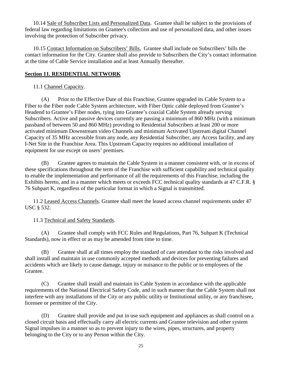<span id="page-30-0"></span>10.14 Sale of Subscriber Lists and Personalized Data. Grantee shall be subject to the provisions of federal law regarding limitations on Grantee's collection and use of personalized data, and other issues involving the protection of Subscriber privacy.

<span id="page-30-1"></span>10.15 Contact Information on Subscribers' Bills. Grantee shall include on Subscribers' bills the contact information for the City. Grantee shall also provide to Subscribers the City's contact information at the time of Cable Service installation and at least Annually thereafter.

## <span id="page-30-2"></span>**Section 11. RESIDENTIAL NETWORK**

# <span id="page-30-3"></span>11.1 Channel Capacity.

(A) Prior to the Effective Date of this Franchise, Grantee upgraded its Cable System to a Fiber to the Fiber node Cable System architecture, with Fiber Optic cable deployed from Grantee's Headend to Grantee's Fiber nodes, tying into Grantee's coaxial Cable System already serving Subscribers. Active and passive devices currently are passing a minimum of 860 MHz (with a minimum passband of between 50 and 860 MHz) providing to Residential Subscribers at least 200 or more activated minimum Downstream video Channels and minimum Activated Upstream digital Channel Capacity of 35 MHz accessible from any node, any Residential Subscriber, any Access facility, and any I-Net Site in the Franchise Area. This Upstream Capacity requires no additional installation of equipment for use except on users' premises.

(B) Grantee agrees to maintain the Cable System in a manner consistent with, or in excess of these specifications throughout the term of the Franchise with sufficient capability and technical quality to enable the implementation and performance of all the requirements of this Franchise, including the Exhibits hereto, and in a manner which meets or exceeds FCC technical quality standards at 47 C.F.R. § 76 Subpart K, regardless of the particular format in which a Signal is transmitted.

<span id="page-30-4"></span>11.2 Leased Access Channels. Grantee shall meet the leased access channel requirements under 47 USC § 532.

## <span id="page-30-5"></span>11.3 Technical and Safety Standards.

(A) Grantee shall comply with FCC Rules and Regulations, Part 76, Subpart K (Technical Standards), now in effect or as may be amended from time to time.

(B) Grantee shall at all times employ the standard of care attendant to the risks involved and shall install and maintain in use commonly accepted methods and devices for preventing failures and accidents which are likely to cause damage, injury or nuisance to the public or to employees of the Grantee.

(C) Grantee shall install and maintain its Cable System in accordance with the applicable requirements of the National Electrical Safety Code, and in such manner that the Cable System shall not interfere with any installations of the City or any public utility or Institutional utility, or any franchisee, licensee or permittee of the City.

(D) Grantee shall provide and put in use such equipment and appliances as shall control on a closed circuit basis and effectually carry all electric currents and Grantee television and other system Signal impulses in a manner so as to prevent injury to the wires, pipes, structures, and property belonging to the City or to any Person within the City.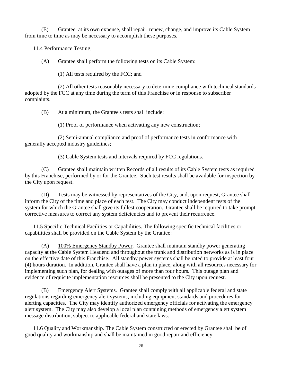(E) Grantee, at its own expense, shall repair, renew, change, and improve its Cable System from time to time as may be necessary to accomplish these purposes.

<span id="page-31-0"></span>11.4 Performance Testing.

(A) Grantee shall perform the following tests on its Cable System:

(1) All tests required by the FCC; and

(2) All other tests reasonably necessary to determine compliance with technical standards adopted by the FCC at any time during the term of this Franchise or in response to subscriber complaints.

(B) At a minimum, the Grantee's tests shall include:

(1) Proof of performance when activating any new construction;

(2) Semi-annual compliance and proof of performance tests in conformance with generally accepted industry guidelines;

(3) Cable System tests and intervals required by FCC regulations.

(C) Grantee shall maintain written Records of all results of its Cable System tests as required by this Franchise, performed by or for the Grantee. Such test results shall be available for inspection by the City upon request.

(D) Tests may be witnessed by representatives of the City, and, upon request, Grantee shall inform the City of the time and place of each test. The City may conduct independent tests of the system for which the Grantee shall give its fullest cooperation. Grantee shall be required to take prompt corrective measures to correct any system deficiencies and to prevent their recurrence.

<span id="page-31-1"></span>11.5 Specific Technical Facilities or Capabilities. The following specific technical facilities or capabilities shall be provided on the Cable System by the Grantee:

(A) 100% Emergency Standby Power. Grantee shall maintain standby power generating capacity at the Cable System Headend and throughout the trunk and distribution networks as is in place on the effective date of this Franchise. All standby power systems shall be rated to provide at least four (4) hours duration. In addition, Grantee shall have a plan in place, along with all resources necessary for implementing such plan, for dealing with outages of more than four hours. This outage plan and evidence of requisite implementation resources shall be presented to the City upon request.

(B) Emergency Alert Systems. Grantee shall comply with all applicable federal and state regulations regarding emergency alert systems, including equipment standards and procedures for alerting capacities. The City may identify authorized emergency officials for activating the emergency alert system. The City may also develop a local plan containing methods of emergency alert system message distribution, subject to applicable federal and state laws.

<span id="page-31-2"></span>11.6 Quality and Workmanship. The Cable System constructed or erected by Grantee shall be of good quality and workmanship and shall be maintained in good repair and efficiency.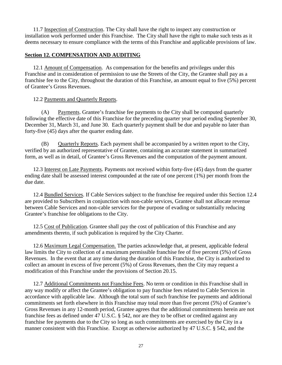<span id="page-32-0"></span>11.7 Inspection of Construction. The City shall have the right to inspect any construction or installation work performed under this Franchise. The City shall have the right to make such tests as it deems necessary to ensure compliance with the terms of this Franchise and applicable provisions of law.

#### <span id="page-32-1"></span>**Section 12. COMPENSATION AND AUDITING**

<span id="page-32-2"></span>12.1 Amount of Compensation. As compensation for the benefits and privileges under this Franchise and in consideration of permission to use the Streets of the City, the Grantee shall pay as a franchise fee to the City, throughout the duration of this Franchise, an amount equal to five (5%) percent of Grantee's Gross Revenues.

#### <span id="page-32-3"></span>12.2 Payments and Quarterly Reports.

(A) Payments. Grantee's franchise fee payments to the City shall be computed quarterly following the effective date of this Franchise for the preceding quarter year period ending September 30, December 31, March 31, and June 30. Each quarterly payment shall be due and payable no later than forty-five (45) days after the quarter ending date.

(B) Quarterly Reports. Each payment shall be accompanied by a written report to the City, verified by an authorized representative of Grantee, containing an accurate statement in summarized form, as well as in detail, of Grantee's Gross Revenues and the computation of the payment amount.

<span id="page-32-4"></span>12.3 Interest on Late Payments. Payments not received within forty-five (45) days from the quarter ending date shall be assessed interest compounded at the rate of one percent (1%) per month from the due date.

<span id="page-32-5"></span>12.4 Bundled Services. If Cable Services subject to the franchise fee required under this Section 12.4 are provided to Subscribers in conjunction with non-cable services, Grantee shall not allocate revenue between Cable Services and non-cable services for the purpose of evading or substantially reducing Grantee's franchise fee obligations to the City.

<span id="page-32-6"></span>12.5 Cost of Publication. Grantee shall pay the cost of publication of this Franchise and any amendments thereto, if such publication is required by the City Charter.

<span id="page-32-7"></span>12.6 Maximum Legal Compensation. The parties acknowledge that, at present, applicable federal law limits the City to collection of a maximum permissible franchise fee of five percent (5%) of Gross Revenues. In the event that at any time during the duration of this Franchise, the City is authorized to collect an amount in excess of five percent (5%) of Gross Revenues, then the City may request a modification of this Franchise under the provisions of Section 20.15.

<span id="page-32-8"></span>12.7 Additional Commitments not Franchise Fees. No term or condition in this Franchise shall in any way modify or affect the Grantee's obligation to pay franchise fees related to Cable Services in accordance with applicable law. Although the total sum of such franchise fee payments and additional commitments set forth elsewhere in this Franchise may total more than five percent (5%) of Grantee's Gross Revenues in any 12-month period, Grantee agrees that the additional commitments herein are not franchise fees as defined under 47 U.S.C. § 542, nor are they to be offset or credited against any franchise fee payments due to the City so long as such commitments are exercised by the City in a manner consistent with this Franchise. Except as otherwise authorized by 47 U.S.C. § 542, and the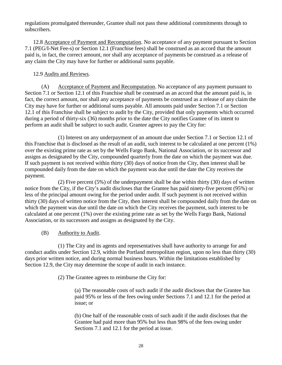regulations promulgated thereunder, Grantee shall not pass these additional commitments through to subscribers.

<span id="page-33-0"></span>12.8 Acceptance of Payment and Recomputation. No acceptance of any payment pursuant to Section 7.1 (PEG/I-Net Fee-s) or Section 12.1 (Franchise fees) shall be construed as an accord that the amount paid is, in fact, the correct amount, nor shall any acceptance of payments be construed as a release of any claim the City may have for further or additional sums payable.

### <span id="page-33-1"></span>12.9 Audits and Reviews.

(A) Acceptance of Payment and Recomputation. No acceptance of any payment pursuant to Section 7.1 or Section 12.1 of this Franchise shall be construed as an accord that the amount paid is, in fact, the correct amount, nor shall any acceptance of payments be construed as a release of any claim the City may have for further or additional sums payable. All amounts paid under Section 7.1 or Section 12.1 of this Franchise shall be subject to audit by the City, provided that only payments which occurred during a period of thirty-six (36) months prior to the date the City notifies Grantee of its intent to perform an audit shall be subject to such audit. Grantee agrees to pay the City for:

(1) Interest on any underpayment of an amount due under Section 7.1 or Section 12.1 of this Franchise that is disclosed as the result of an audit, such interest to be calculated at one percent (1%) over the existing prime rate as set by the Wells Fargo Bank, National Association, or its successor and assigns as designated by the City, compounded quarterly from the date on which the payment was due. If such payment is not received within thirty (30) days of notice from the City, then interest shall be compounded daily from the date on which the payment was due until the date the City receives the payment.

(2) Five percent (5%) of the underpayment shall be due within thirty (30) days of written notice from the City, if the City's audit discloses that the Grantee has paid ninety-five percent (95%) or less of the principal amount owing for the period under audit. If such payment is not received within thirty (30) days of written notice from the City, then interest shall be compounded daily from the date on which the payment was due until the date on which the City receives the payment, such interest to be calculated at one percent (1%) over the existing prime rate as set by the Wells Fargo Bank, National Association, or its successors and assigns as designated by the City.

### (B) Authority to Audit.

(1) The City and its agents and representatives shall have authority to arrange for and conduct audits under Section 12.9, within the Portland metropolitan region, upon no less than thirty (30) days prior written notice, and during normal business hours. Within the limitations established by Section 12.9, the City may determine the scope of audit in each instance.

(2) The Grantee agrees to reimburse the City for:

(a) The reasonable costs of such audit if the audit discloses that the Grantee has paid 95% or less of the fees owing under Sections 7.1 and 12.1 for the period at issue; or

(b) One half of the reasonable costs of such audit if the audit discloses that the Grantee had paid more than 95% but less than 98% of the fees owing under Sections 7.1 and 12.1 for the period at issue.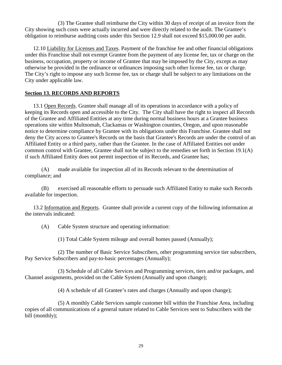(3) The Grantee shall reimburse the City within 30 days of receipt of an invoice from the City showing such costs were actually incurred and were directly related to the audit. The Grantee's obligation to reimburse auditing costs under this Section 12.9 shall not exceed \$15,000.00 per audit.

<span id="page-34-0"></span>12.10 Liability for Licenses and Taxes. Payment of the franchise fee and other financial obligations under this Franchise shall not exempt Grantee from the payment of any license fee, tax or charge on the business, occupation, property or income of Grantee that may be imposed by the City, except as may otherwise be provided in the ordinance or ordinances imposing such other license fee, tax or charge. The City's right to impose any such license fee, tax or charge shall be subject to any limitations on the City under applicable law.

### <span id="page-34-1"></span>**Section 13. RECORDS AND REPORTS**

<span id="page-34-2"></span>13.1 Open Records. Grantee shall manage all of its operations in accordance with a policy of keeping its Records open and accessible to the City. The City shall have the right to inspect all Records of the Grantee and Affiliated Entities at any time during normal business hours at a Grantee business operations site within Multnomah, Clackamas or Washington counties, Oregon, and upon reasonable notice to determine compliance by Grantee with its obligations under this Franchise. Grantee shall not deny the City access to Grantee's Records on the basis that Grantee's Records are under the control of an Affiliated Entity or a third party, rather than the Grantee. In the case of Affiliated Entities not under common control with Grantee, Grantee shall not be subject to the remedies set forth in Section 19.1(A) if such Affiliated Entity does not permit inspection of its Records, and Grantee has;

(A) made available for inspection all of its Records relevant to the determination of compliance; and

(B) exercised all reasonable efforts to persuade such Affiliated Entity to make such Records available for inspection.

<span id="page-34-3"></span>13.2 Information and Reports. Grantee shall provide a current copy of the following information at the intervals indicated:

(A) Cable System structure and operating information:

(1) Total Cable System mileage and overall homes passed (Annually);

(2) The number of Basic Service Subscribers, other programming service tier subscribers, Pay Service Subscribers and pay-to-basic percentages (Annually);

(3) Schedule of all Cable Services and Programming services, tiers and/or packages, and Channel assignments, provided on the Cable System (Annually and upon change);

(4) A schedule of all Grantee's rates and charges (Annually and upon change);

(5) A monthly Cable Services sample customer bill within the Franchise Area, including copies of all communications of a general nature related to Cable Services sent to Subscribers with the bill (monthly);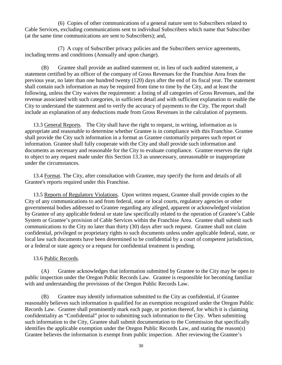(6) Copies of other communications of a general nature sent to Subscribers related to Cable Services, excluding communications sent to individual Subscribers which name that Subscriber (at the same time communications are sent to Subscribers); and,

(7) A copy of Subscriber privacy policies and the Subscribers service agreements, including terms and conditions (Annually and upon change).

(B) Grantee shall provide an audited statement or, in lieu of such audited statement, a statement certified by an officer of the company of Gross Revenues for the Franchise Area from the previous year, no later than one hundred twenty (120) days after the end of its fiscal year. The statement shall contain such information as may be required from time to time by the City, and at least the following, unless the City waives the requirement: a listing of all categories of Gross Revenues, and the revenue associated with such categories, in sufficient detail and with sufficient explanation to enable the City to understand the statement and to verify the accuracy of payments to the City. The report shall include an explanation of any deductions made from Gross Revenues in the calculation of payments.

<span id="page-35-0"></span>13.3 General Reports. The City shall have the right to request, in writing, information as is appropriate and reasonable to determine whether Grantee is in compliance with this Franchise. Grantee shall provide the City such information in a format as Grantee customarily prepares such report or information. Grantee shall fully cooperate with the City and shall provide such information and documents as necessary and reasonable for the City to evaluate compliance. Grantee reserves the right to object to any request made under this Section 13.3 as unnecessary, unreasonable or inappropriate under the circumstances.

<span id="page-35-1"></span>13.4 Format. The City, after consultation with Grantee, may specify the form and details of all Grantee's reports required under this Franchise.

<span id="page-35-2"></span>13.5 Reports of Regulatory Violations. Upon written request, Grantee shall provide copies to the City of any communications to and from federal, state or local courts, regulatory agencies or other governmental bodies addressed to Grantee regarding any alleged, apparent or acknowledged violation by Grantee of any applicable federal or state law specifically related to the operation of Grantee's Cable System or Grantee's provision of Cable Services within the Franchise Area. Grantee shall submit such communications to the City no later than thirty (30) days after such request. Grantee shall not claim confidential, privileged or proprietary rights to such documents unless under applicable federal, state, or local law such documents have been determined to be confidential by a court of competent jurisdiction, or a federal or state agency or a request for confidential treatment is pending.

### <span id="page-35-3"></span>13.6 Public Records.

(A) Grantee acknowledges that information submitted by Grantee to the City may be open to public inspection under the Oregon Public Records Law. Grantee is responsible for becoming familiar with and understanding the provisions of the Oregon Public Records Law.

(B) Grantee may identify information submitted to the City as confidential, if Grantee reasonably believes such information is qualified for an exemption recognized under the Oregon Public Records Law. Grantee shall prominently mark each page, or portion thereof, for which it is claiming confidentiality as "Confidential" prior to submitting such information to the City. When submitting such information to the City, Grantee shall submit documentation to the Commission that specifically identifies the applicable exemption under the Oregon Public Records Law, and stating the reason(s) Grantee believes the information is exempt from public inspection. After reviewing the Grantee's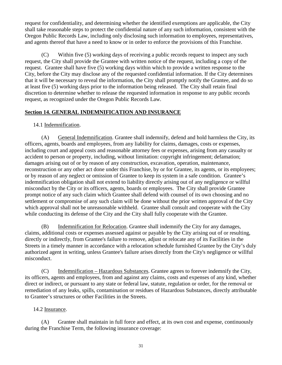request for confidentiality, and determining whether the identified exemptions are applicable, the City shall take reasonable steps to protect the confidential nature of any such information, consistent with the Oregon Public Records Law, including only disclosing such information to employees, representatives, and agents thereof that have a need to know or in order to enforce the provisions of this Franchise.

(C) Within five (5) working days of receiving a public records request to inspect any such request, the City shall provide the Grantee with written notice of the request, including a copy of the request. Grantee shall have five (5) working days within which to provide a written response to the City, before the City may disclose any of the requested confidential information. If the City determines that it will be necessary to reveal the information, the City shall promptly notify the Grantee, and do so at least five (5) working days prior to the information being released. The City shall retain final discretion to determine whether to release the requested information in response to any public records request, as recognized under the Oregon Public Records Law.

### <span id="page-36-0"></span>**Section 14. GENERAL INDEMNIFICATION AND INSURANCE**

#### <span id="page-36-1"></span>14.1 Indemnification.

(A) General Indemnification. Grantee shall indemnify, defend and hold harmless the City, its officers, agents, boards and employees, from any liability for claims, damages, costs or expenses, including court and appeal costs and reasonable attorney fees or expenses, arising from any casualty or accident to person or property, including, without limitation: copyright infringement; defamation; damages arising out of or by reason of any construction, excavation, operation, maintenance, reconstruction or any other act done under this Franchise, by or for Grantee, its agents, or its employees; or by reason of any neglect or omission of Grantee to keep its system in a safe condition. Grantee's indemnification obligation shall not extend to liability directly arising out of any negligence or willful misconduct by the City or its officers, agents, boards or employees. The City shall provide Grantee prompt notice of any such claim which Grantee shall defend with counsel of its own choosing and no settlement or compromise of any such claim will be done without the prior written approval of the City which approval shall not be unreasonable withheld. Grantee shall consult and cooperate with the City while conducting its defense of the City and the City shall fully cooperate with the Grantee.

(B) Indemnification for Relocation. Grantee shall indemnify the City for any damages, claims, additional costs or expenses assessed against or payable by the City arising out of or resulting, directly or indirectly, from Grantee's failure to remove, adjust or relocate any of its Facilities in the Streets in a timely manner in accordance with a relocation schedule furnished Grantee by the City's duly authorized agent in writing, unless Grantee's failure arises directly from the City's negligence or willful misconduct.

(C) Indemnification – Hazardous Substances. Grantee agrees to forever indemnify the City, its officers, agents and employees, from and against any claims, costs and expenses of any kind, whether direct or indirect, or pursuant to any state or federal law, statute, regulation or order, for the removal or remediation of any leaks, spills, contamination or residues of Hazardous Substances, directly attributable to Grantee's structures or other Facilities in the Streets.

#### <span id="page-36-2"></span>14.2 Insurance.

(A) Grantee shall maintain in full force and effect, at its own cost and expense, continuously during the Franchise Term, the following insurance coverage: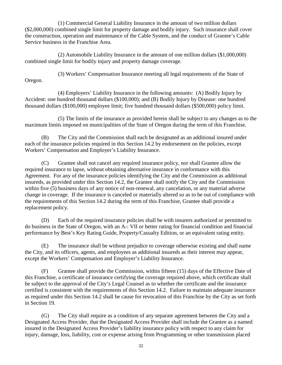(1) Commercial General Liability Insurance in the amount of two million dollars (\$2,000,000) combined single limit for property damage and bodily injury. Such insurance shall cover the construction, operation and maintenance of the Cable System, and the conduct of Grantee's Cable Service business in the Franchise Area.

(2) Automobile Liability Insurance in the amount of one million dollars (\$1,000,000) combined single limit for bodily injury and property damage coverage.

(3) Workers' Compensation Insurance meeting all legal requirements of the State of Oregon.

(4) Employers' Liability Insurance in the following amounts: (A) Bodily Injury by Accident: one hundred thousand dollars (\$100,000); and (B) Bodily Injury by Disease: one hundred thousand dollars (\$100,000) employee limit; five hundred thousand dollars (\$500,000) policy limit.

(5) The limits of the insurance as provided herein shall be subject to any changes as to the maximum limits imposed on municipalities of the State of Oregon during the term of this Franchise.

(B) The City and the Commission shall each be designated as an additional insured under each of the insurance policies required in this Section 14.2 by endorsement on the policies, except Workers' Compensation and Employer's Liability Insurance.

(C) Grantee shall not cancel any required insurance policy, nor shall Grantee allow the required insurance to lapse, without obtaining alternative insurance in conformance with this Agreement. For any of the insurance policies identifying the City and the Commission as additional insureds, as provided under this Section 14.2, the Grantee shall notify the City and the Commission within five (5) business days of any notice of non-renewal, any cancelation, or any material adverse change in coverage. If the insurance is canceled or materially altered so as to be out of compliance with the requirements of this Section 14.2 during the term of this Franchise, Grantee shall provide a replacement policy.

(D) Each of the required insurance policies shall be with insurers authorized or permitted to do business in the State of Oregon, with an A-: VII or better rating for financial condition and financial performance by Best's Key Rating Guide, Property/Casualty Edition, or an equivalent rating entity.

(E) The insurance shall be without prejudice to coverage otherwise existing and shall name the City, and its officers, agents, and employees as additional insureds as their interest may appear, except the Workers' Compensation and Employer's Liability Insurance.

(F) Grantee shall provide the Commission, within fifteen (15) days of the Effective Date of this Franchise, a certificate of insurance certifying the coverage required above, which certificate shall be subject to the approval of the City's Legal Counsel as to whether the certificate and the insurance certified is consistent with the requirements of this Section 14.2. Failure to maintain adequate insurance as required under this Section 14.2 shall be cause for revocation of this Franchise by the City as set forth in Section 19.

(G) The City shall require as a condition of any separate agreement between the City and a Designated Access Provider, that the Designated Access Provider shall include the Grantee as a named insured in the Designated Access Provider's liability insurance policy with respect to any claim for injury, damage, loss, liability, cost or expense arising from Programming or other transmission placed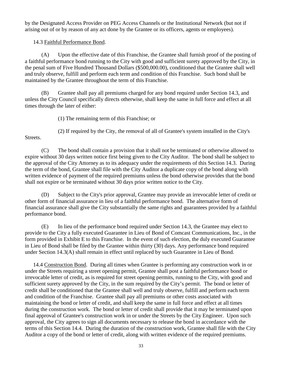by the Designated Access Provider on PEG Access Channels or the Institutional Network (but not if arising out of or by reason of any act done by the Grantee or its officers, agents or employees).

### <span id="page-38-0"></span>14.3 Faithful Performance Bond.

(A) Upon the effective date of this Franchise, the Grantee shall furnish proof of the posting of a faithful performance bond running to the City with good and sufficient surety approved by the City, in the penal sum of Five Hundred Thousand Dollars (\$500,000.00), conditioned that the Grantee shall well and truly observe, fulfill and perform each term and condition of this Franchise. Such bond shall be maintained by the Grantee throughout the term of this Franchise.

(B) Grantee shall pay all premiums charged for any bond required under Section 14.3, and unless the City Council specifically directs otherwise, shall keep the same in full force and effect at all times through the later of either:

(1) The remaining term of this Franchise; or

Streets.

(2) If required by the City, the removal of all of Grantee's system installed in the City's

(C) The bond shall contain a provision that it shall not be terminated or otherwise allowed to expire without 30 days written notice first being given to the City Auditor. The bond shall be subject to the approval of the City Attorney as to its adequacy under the requirements of this Section 14.3. During the term of the bond, Grantee shall file with the City Auditor a duplicate copy of the bond along with written evidence of payment of the required premiums unless the bond otherwise provides that the bond shall not expire or be terminated without 30 days prior written notice to the City.

(D) Subject to the City's prior approval, Grantee may provide an irrevocable letter of credit or other form of financial assurance in lieu of a faithful performance bond. The alternative form of financial assurance shall give the City substantially the same rights and guarantees provided by a faithful performance bond.

(E) In lieu of the performance bond required under Section 14.3, the Grantee may elect to provide to the City a fully executed Guarantee in Lieu of Bond of Comcast Communications, Inc., in the form provided in Exhibit E to this Franchise. In the event of such election, the duly executed Guarantee in Lieu of Bond shall be filed by the Grantee within thirty (30) days. Any performance bond required under Section 14.3(A) shall remain in effect until replaced by such Guarantee in Lieu of Bond.

<span id="page-38-1"></span>14.4 Construction Bond. During all times when Grantee is performing any construction work in or under the Streets requiring a street opening permit, Grantee shall post a faithful performance bond or irrevocable letter of credit, as is required for street opening permits, running to the City, with good and sufficient surety approved by the City, in the sum required by the City's permit. The bond or letter of credit shall be conditioned that the Grantee shall well and truly observe, fulfill and perform each term and condition of the Franchise. Grantee shall pay all premiums or other costs associated with maintaining the bond or letter of credit, and shall keep the same in full force and effect at all times during the construction work. The bond or letter of credit shall provide that it may be terminated upon final approval of Grantee's construction work in or under the Streets by the City Engineer. Upon such approval, the City agrees to sign all documents necessary to release the bond in accordance with the terms of this Section 14.4. During the duration of the construction work, Grantee shall file with the City Auditor a copy of the bond or letter of credit, along with written evidence of the required premiums.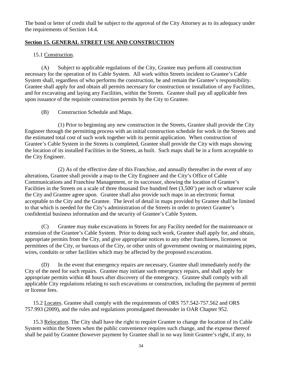The bond or letter of credit shall be subject to the approval of the City Attorney as to its adequacy under the requirements of Section 14.4.

### <span id="page-39-0"></span>**Section 15. GENERAL STREET USE AND CONSTRUCTION**

### <span id="page-39-1"></span>15.1 Construction.

(A) Subject to applicable regulations of the City, Grantee may perform all construction necessary for the operation of its Cable System. All work within Streets incident to Grantee's Cable System shall, regardless of who performs the construction, be and remain the Grantee's responsibility. Grantee shall apply for and obtain all permits necessary for construction or installation of any Facilities, and for excavating and laying any Facilities, within the Streets. Grantee shall pay all applicable fees upon issuance of the requisite construction permits by the City to Grantee.

(B) Construction Schedule and Maps.

(1) Prior to beginning any new construction in the Streets, Grantee shall provide the City Engineer through the permitting process with an initial construction schedule for work in the Streets and the estimated total cost of such work together with its permit application. When construction of Grantee's Cable System in the Streets is completed, Grantee shall provide the City with maps showing the location of its installed Facilities in the Streets, as built. Such maps shall be in a form acceptable to the City Engineer.

(2) As of the effective date of this Franchise, and annually thereafter in the event of any alterations, Grantee shall provide a map to the City Engineer and the City's Office of Cable Communications and Franchise Management, or its successor, showing the location of Grantee's Facilities in the Streets on a scale of three thousand five hundred feet (3,500') per inch or whatever scale the City and Grantee agree upon. Grantee shall also provide such maps in an electronic format acceptable to the City and the Grantee. The level of detail in maps provided by Grantee shall be limited to that which is needed for the City's administration of the Streets in order to protect Grantee's confidential business information and the security of Grantee's Cable System.

(C) Grantee may make excavations in Streets for any Facility needed for the maintenance or extension of the Grantee's Cable System. Prior to doing such work, Grantee shall apply for, and obtain, appropriate permits from the City, and give appropriate notices to any other franchisees, licensees or permittees of the City, or bureaus of the City, or other units of government owning or maintaining pipes, wires, conduits or other facilities which may be affected by the proposed excavation.

(D) In the event that emergency repairs are necessary, Grantee shall immediately notify the City of the need for such repairs. Grantee may initiate such emergency repairs, and shall apply for appropriate permits within 48 hours after discovery of the emergency. Grantee shall comply with all applicable City regulations relating to such excavations or construction, including the payment of permit or license fees.

<span id="page-39-2"></span>15.2 Locates. Grantee shall comply with the requirements of ORS 757.542-757.562 and ORS 757.993 (2009), and the rules and regulations promulgated thereunder in OAR Chapter 952.

<span id="page-39-3"></span>15.3 Relocation. The City shall have the right to require Grantee to change the location of its Cable System within the Streets when the public convenience requires such change, and the expense thereof shall be paid by Grantee (however payment by Grantee shall in no way limit Grantee's right, if any, to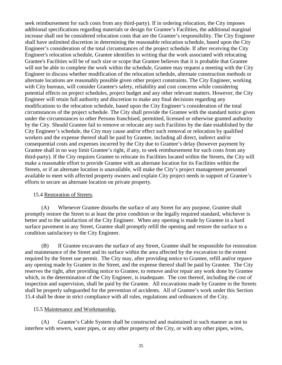seek reimbursement for such costs from any third-party). If in ordering relocation, the City imposes additional specifications regarding materials or design for Grantee's Facilities, the additional marginal increase shall not be considered relocation costs that are the Grantee's responsibility. The City Engineer shall have unlimited discretion in determining the reasonable relocation schedule, based upon the City Engineer's consideration of the total circumstances of the project schedule. If after receiving the City Engineer's relocation schedule, Grantee identifies in writing that the work associated with relocating Grantee's Facilities will be of such size or scope that Grantee believes that it is probable that Grantee will not be able to complete the work within the schedule, Grantee may request a meeting with the City Engineer to discuss whether modification of the relocation schedule, alternate construction methods or alternate locations are reasonably possible given other project constraints. The City Engineer, working with City bureaus, will consider Grantee's safety, reliability and cost concerns while considering potential effects on project schedules, project budget and any other relevant matters. However, the City Engineer will retain full authority and discretion to make any final decisions regarding any modifications to the relocation schedule, based upon the City Engineer's consideration of the total circumstances of the project schedule. The City shall provide the Grantee with the standard notice given under the circumstances to other Persons franchised, permitted, licensed or otherwise granted authority by the City. Should Grantee fail to remove or relocate any such Facilities by the date established by the City Engineer's schedule, the City may cause and/or effect such removal or relocation by qualified workers and the expense thereof shall be paid by Grantee, including all direct, indirect and/or consequential costs and expenses incurred by the City due to Grantee's delay (however payment by Grantee shall in no way limit Grantee's right, if any, to seek reimbursement for such costs from any third-party). If the City requires Grantee to relocate its Facilities located within the Streets, the City will make a reasonable effort to provide Grantee with an alternate location for its Facilities within the Streets, or if an alternate location is unavailable, will make the City's project management personnel available to meet with affected property owners and explain City project needs in support of Grantee's efforts to secure an alternate location on private property.

#### <span id="page-40-0"></span>15.4 Restoration of Streets.

(A) Whenever Grantee disturbs the surface of any Street for any purpose, Grantee shall promptly restore the Street to at least the prior condition or the legally required standard, whichever is better and to the satisfaction of the City Engineer. When any opening is made by Grantee in a hard surface pavement in any Street, Grantee shall promptly refill the opening and restore the surface to a condition satisfactory to the City Engineer.

(B) If Grantee excavates the surface of any Street, Grantee shall be responsible for restoration and maintenance of the Street and its surface within the area affected by the excavation to the extent required by the Street use permit. The City may, after providing notice to Grantee, refill and/or repave any opening made by Grantee in the Street, and the expense thereof shall be paid by Grantee. The City reserves the right, after providing notice to Grantee, to remove and/or repair any work done by Grantee which, in the determination of the City Engineer, is inadequate. The cost thereof, including the cost of inspection and supervision, shall be paid by the Grantee. All excavations made by Grantee in the Streets shall be properly safeguarded for the prevention of accidents. All of Grantee's work under this Section 15.4 shall be done in strict compliance with all rules, regulations and ordinances of the City.

### <span id="page-40-1"></span>15.5 Maintenance and Workmanship.

(A) Grantee's Cable System shall be constructed and maintained in such manner as not to interfere with sewers, water pipes, or any other property of the City, or with any other pipes, wires,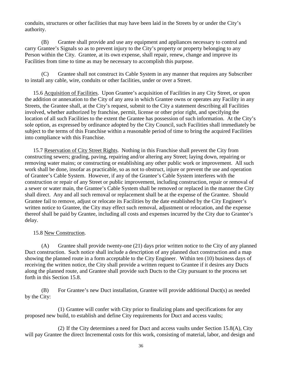conduits, structures or other facilities that may have been laid in the Streets by or under the City's authority.

(B) Grantee shall provide and use any equipment and appliances necessary to control and carry Grantee's Signals so as to prevent injury to the City's property or property belonging to any Person within the City. Grantee, at its own expense, shall repair, renew, change and improve its Facilities from time to time as may be necessary to accomplish this purpose.

(C) Grantee shall not construct its Cable System in any manner that requires any Subscriber to install any cable, wire, conduits or other facilities, under or over a Street.

<span id="page-41-0"></span>15.6 Acquisition of Facilities. Upon Grantee's acquisition of Facilities in any City Street, or upon the addition or annexation to the City of any area in which Grantee owns or operates any Facility in any Streets, the Grantee shall, at the City's request, submit to the City a statement describing all Facilities involved, whether authorized by franchise, permit, license or other prior right, and specifying the location of all such Facilities to the extent the Grantee has possession of such information. At the City's sole option, as expressed by ordinance adopted by the City Council, such Facilities shall immediately be subject to the terms of this Franchise within a reasonable period of time to bring the acquired Facilities into compliance with this Franchise.

<span id="page-41-1"></span>15.7 Reservation of City Street Rights. Nothing in this Franchise shall prevent the City from constructing sewers; grading, paving, repairing and/or altering any Street; laying down, repairing or removing water mains; or constructing or establishing any other public work or improvement. All such work shall be done, insofar as practicable, so as not to obstruct, injure or prevent the use and operation of Grantee's Cable System. However, if any of the Grantee's Cable System interferes with the construction or repair of any Street or public improvement, including construction, repair or removal of a sewer or water main, the Grantee's Cable System shall be removed or replaced in the manner the City shall direct. Any and all such removal or replacement shall be at the expense of the Grantee. Should Grantee fail to remove, adjust or relocate its Facilities by the date established by the City Engineer's written notice to Grantee, the City may effect such removal, adjustment or relocation, and the expense thereof shall be paid by Grantee, including all costs and expenses incurred by the City due to Grantee's delay.

### <span id="page-41-2"></span>15.8 New Construction.

(A) Grantee shall provide twenty-one (21) days prior written notice to the City of any planned Duct construction. Such notice shall include a description of any planned duct construction and a map showing the planned route in a form acceptable to the City Engineer. Within ten (10) business days of receiving the written notice, the City shall provide a written request to Grantee if it desires any Ducts along the planned route, and Grantee shall provide such Ducts to the City pursuant to the process set forth in this Section 15.8.

(B) For Grantee's new Duct installation, Grantee will provide additional Duct(s) as needed by the City:

(1) Grantee will confer with City prior to finalizing plans and specifications for any proposed new build, to establish and define City requirements for Duct and access vaults;

(2) If the City determines a need for Duct and access vaults under Section 15.8(A), City will pay Grantee the direct Incremental costs for this work, consisting of material, labor, and design and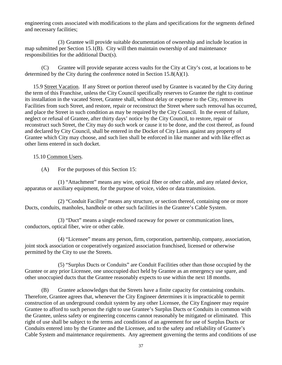engineering costs associated with modifications to the plans and specifications for the segments defined and necessary facilities;

(3) Grantee will provide suitable documentation of ownership and include location in map submitted per Section 15.1(B). City will then maintain ownership of and maintenance responsibilities for the additional Duct(s).

(C) Grantee will provide separate access vaults for the City at City's cost, at locations to be determined by the City during the conference noted in Section 15.8(A)(1).

<span id="page-42-0"></span>15.9 Street Vacation. If any Street or portion thereof used by Grantee is vacated by the City during the term of this Franchise, unless the City Council specifically reserves to Grantee the right to continue its installation in the vacated Street, Grantee shall, without delay or expense to the City, remove its Facilities from such Street, and restore, repair or reconstruct the Street where such removal has occurred, and place the Street in such condition as may be required by the City Council. In the event of failure, neglect or refusal of Grantee, after thirty days' notice by the City Council, to restore, repair or reconstruct such Street, the City may do such work or cause it to be done, and the cost thereof, as found and declared by City Council, shall be entered in the Docket of City Liens against any property of Grantee which City may choose, and such lien shall be enforced in like manner and with like effect as other liens entered in such docket.

#### <span id="page-42-1"></span>15.10 Common Users.

(A) For the purposes of this Section 15:

(1) "Attachment" means any wire, optical fiber or other cable, and any related device, apparatus or auxiliary equipment, for the purpose of voice, video or data transmission.

(2) "Conduit Facility" means any structure, or section thereof, containing one or more Ducts, conduits, manholes, handhole or other such facilities in the Grantee's Cable System.

(3) "Duct" means a single enclosed raceway for power or communication lines, conductors, optical fiber, wire or other cable.

(4) "Licensee" means any person, firm, corporation, partnership, company, association, joint stock association or cooperatively organized association franchised, licensed or otherwise permitted by the City to use the Streets.

(5) "Surplus Ducts or Conduits" are Conduit Facilities other than those occupied by the Grantee or any prior Licensee, one unoccupied duct held by Grantee as an emergency use spare, and other unoccupied ducts that the Grantee reasonably expects to use within the next 18 months.

(B) Grantee acknowledges that the Streets have a finite capacity for containing conduits. Therefore, Grantee agrees that, whenever the City Engineer determines it is impracticable to permit construction of an underground conduit system by any other Licensee, the City Engineer may require Grantee to afford to such person the right to use Grantee's Surplus Ducts or Conduits in common with the Grantee, unless safety or engineering concerns cannot reasonably be mitigated or eliminated. This right of use shall be subject to the terms and conditions of an agreement for use of Surplus Ducts or Conduits entered into by the Grantee and the Licensee, and to the safety and reliability of Grantee's Cable System and maintenance requirements. Any agreement governing the terms and conditions of use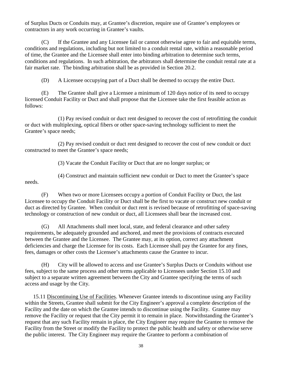of Surplus Ducts or Conduits may, at Grantee's discretion, require use of Grantee's employees or contractors in any work occurring in Grantee's vaults.

(C) If the Grantee and any Licensee fail or cannot otherwise agree to fair and equitable terms, conditions and regulations, including but not limited to a conduit rental rate, within a reasonable period of time, the Grantee and the Licensee shall enter into binding arbitration to determine such terms, conditions and regulations. In such arbitration, the arbitrators shall determine the conduit rental rate at a fair market rate. The binding arbitration shall be as provided in Section 20.2.

(D) A Licensee occupying part of a Duct shall be deemed to occupy the entire Duct.

(E) The Grantee shall give a Licensee a minimum of 120 days notice of its need to occupy licensed Conduit Facility or Duct and shall propose that the Licensee take the first feasible action as follows:

(1) Pay revised conduit or duct rent designed to recover the cost of retrofitting the conduit or duct with multiplexing, optical fibers or other space-saving technology sufficient to meet the Grantee's space needs;

(2) Pay revised conduit or duct rent designed to recover the cost of new conduit or duct constructed to meet the Grantee's space needs;

(3) Vacate the Conduit Facility or Duct that are no longer surplus; or

needs.

(4) Construct and maintain sufficient new conduit or Duct to meet the Grantee's space

(F) When two or more Licensees occupy a portion of Conduit Facility or Duct, the last Licensee to occupy the Conduit Facility or Duct shall be the first to vacate or construct new conduit or duct as directed by Grantee. When conduit or duct rent is revised because of retrofitting of space-saving technology or construction of new conduit or duct, all Licensees shall bear the increased cost.

(G) All Attachments shall meet local, state, and federal clearance and other safety requirements, be adequately grounded and anchored, and meet the provisions of contracts executed between the Grantee and the Licensee. The Grantee may, at its option, correct any attachment deficiencies and charge the Licensee for its costs. Each Licensee shall pay the Grantee for any fines, fees, damages or other costs the Licensee's attachments cause the Grantee to incur.

(H) City will be allowed to access and use Grantee's Surplus Ducts or Conduits without use fees, subject to the same process and other terms applicable to Licensees under Section 15.10 and subject to a separate written agreement between the City and Grantee specifying the terms of such access and usage by the City.

<span id="page-43-0"></span>15.11 Discontinuing Use of Facilities. Whenever Grantee intends to discontinue using any Facility within the Streets, Grantee shall submit for the City Engineer's approval a complete description of the Facility and the date on which the Grantee intends to discontinue using the Facility. Grantee may remove the Facility or request that the City permit it to remain in place. Notwithstanding the Grantee's request that any such Facility remain in place, the City Engineer may require the Grantee to remove the Facility from the Street or modify the Facility to protect the public health and safety or otherwise serve the public interest. The City Engineer may require the Grantee to perform a combination of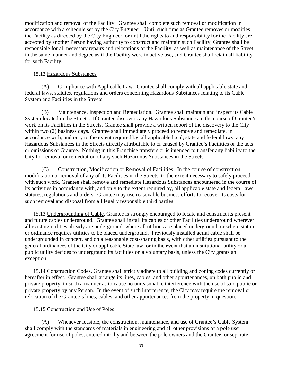modification and removal of the Facility. Grantee shall complete such removal or modification in accordance with a schedule set by the City Engineer. Until such time as Grantee removes or modifies the Facility as directed by the City Engineer, or until the rights to and responsibility for the Facility are accepted by another Person having authority to construct and maintain such Facility, Grantee shall be responsible for all necessary repairs and relocations of the Facility, as well as maintenance of the Street, in the same manner and degree as if the Facility were in active use, and Grantee shall retain all liability for such Facility.

#### <span id="page-44-0"></span>15.12 Hazardous Substances.

(A) Compliance with Applicable Law. Grantee shall comply with all applicable state and federal laws, statutes, regulations and orders concerning Hazardous Substances relating to its Cable System and Facilities in the Streets.

(B) Maintenance, Inspection and Remediation. Grantee shall maintain and inspect its Cable System located in the Streets. If Grantee discovers any Hazardous Substances in the course of Grantee's work on its Facilities in the Streets, Grantee shall provide a written report of the discovery to the City within two (2) business days. Grantee shall immediately proceed to remove and remediate, in accordance with, and only to the extent required by, all applicable local, state and federal laws, any Hazardous Substances in the Streets directly attributable to or caused by Grantee's Facilities or the acts or omissions of Grantee. Nothing in this Franchise transfers or is intended to transfer any liability to the City for removal or remediation of any such Hazardous Substances in the Streets.

(C) Construction, Modification or Removal of Facilities. In the course of construction, modification or removal of any of its Facilities in the Streets, to the extent necessary to safely proceed with such work, Grantee shall remove and remediate Hazardous Substances encountered in the course of its activities in accordance with, and only to the extent required by, all applicable state and federal laws, statutes, regulations and orders. Grantee may use reasonable business efforts to recover its costs for such removal and disposal from all legally responsible third parties.

<span id="page-44-1"></span>15.13 Undergrounding of Cable. Grantee is strongly encouraged to locate and construct its present and future cables underground. Grantee shall install its cables or other Facilities underground wherever all existing utilities already are underground, where all utilities are placed underground, or where statute or ordinance requires utilities to be placed underground. Previously installed aerial cable shall be undergrounded in concert, and on a reasonable cost-sharing basis, with other utilities pursuant to the general ordinances of the City or applicable State law, or in the event that an institutional utility or a public utility decides to underground its facilities on a voluntary basis, unless the City grants an exception.

<span id="page-44-2"></span>15.14 Construction Codes. Grantee shall strictly adhere to all building and zoning codes currently or hereafter in effect. Grantee shall arrange its lines, cables, and other appurtenances, on both public and private property, in such a manner as to cause no unreasonable interference with the use of said public or private property by any Person. In the event of such interference, the City may require the removal or relocation of the Grantee's lines, cables, and other appurtenances from the property in question.

### <span id="page-44-3"></span>15.15 Construction and Use of Poles.

(A) Whenever feasible, the construction, maintenance, and use of Grantee's Cable System shall comply with the standards of materials in engineering and all other provisions of a pole user agreement for use of poles, entered into by and between the pole owners and the Grantee, or separate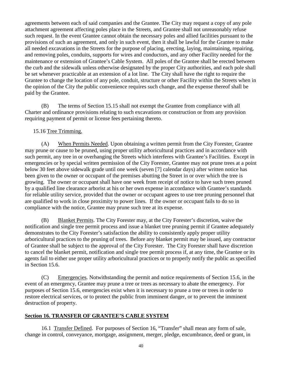agreements between each of said companies and the Grantee. The City may request a copy of any pole attachment agreement affecting poles place in the Streets, and Grantee shall not unreasonably refuse such request. In the event Grantee cannot obtain the necessary poles and allied facilities pursuant to the provisions of such an agreement, and only in such event, then it shall be lawful for the Grantee to make all needed excavations in the Streets for the purpose of placing, erecting, laying, maintaining, repairing, and removing poles, conduits, supports for wires and conductors, and any other Facility needed for the maintenance or extension of Grantee's Cable System. All poles of the Grantee shall be erected between the curb and the sidewalk unless otherwise designated by the proper City authorities, and each pole shall be set whenever practicable at an extension of a lot line. The City shall have the right to require the Grantee to change the location of any pole, conduit, structure or other Facility within the Streets when in the opinion of the City the public convenience requires such change, and the expense thereof shall be paid by the Grantee.

(B) The terms of Section 15.15 shall not exempt the Grantee from compliance with all Charter and ordinance provisions relating to such excavations or construction or from any provision requiring payment of permit or license fees pertaining thereto.

#### <span id="page-45-0"></span>15.16 Tree Trimming.

(A) When Permits Needed. Upon obtaining a written permit from the City Forester, Grantee may prune or cause to be pruned, using proper utility arboricultural practices and in accordance with such permit, any tree in or overhanging the Streets which interferes with Grantee's Facilities. Except in emergencies or by special written permission of the City Forester, Grantee may not prune trees at a point below 30 feet above sidewalk grade until one week (seven [7] calendar days) after written notice has been given to the owner or occupant of the premises abutting the Street in or over which the tree is growing. The owner or occupant shall have one week from receipt of notice to have such trees pruned by a qualified line clearance arborist at his or her own expense in accordance with Grantee's standards for reliable utility service, provided that the owner or occupant agrees to use tree pruning personnel that are qualified to work in close proximity to power lines. If the owner or occupant fails to do so in compliance with the notice, Grantee may prune such tree at its expense.

(B) Blanket Permits. The City Forester may, at the City Forester's discretion, waive the notification and single tree permit process and issue a blanket tree pruning permit if Grantee adequately demonstrates to the City Forester's satisfaction the ability to consistently apply proper utility arboricultural practices to the pruning of trees. Before any blanket permit may be issued, any contractor of Grantee shall be subject to the approval of the City Forester. The City Forester shall have discretion to cancel the blanket permit, notification and single tree permit process if, at any time, the Grantee or its agents fail to either use proper utility arboricultural practices or to properly notify the public as specified in Section 15.6.

(C) Emergencies. Notwithstanding the permit and notice requirements of Section 15.6, in the event of an emergency, Grantee may prune a tree or trees as necessary to abate the emergency. For purposes of Section 15.6, emergencies exist when it is necessary to prune a tree or trees in order to restore electrical services, or to protect the public from imminent danger, or to prevent the imminent destruction of property.

#### <span id="page-45-1"></span>**Section 16. TRANSFER OF GRANTEE'S CABLE SYSTEM**

<span id="page-45-2"></span>16.1 Transfer Defined. For purposes of Section 16, "Transfer" shall mean any form of sale, change in control, conveyance, mortgage, assignment, merger, pledge, encumbrance, deed or grant, in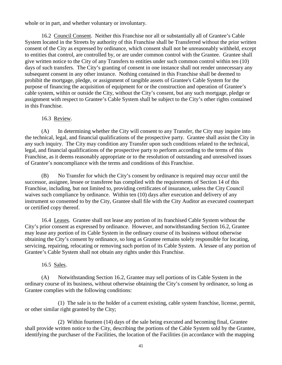whole or in part, and whether voluntary or involuntary.

<span id="page-46-0"></span>16.2 Council Consent. Neither this Franchise nor all or substantially all of Grantee's Cable System located in the Streets by authority of this Franchise shall be Transferred without the prior written consent of the City as expressed by ordinance, which consent shall not be unreasonably withheld, except to entities that control, are controlled by, or are under common control with the Grantee. Grantee shall give written notice to the City of any Transfers to entities under such common control within ten (10) days of such transfers. The City's granting of consent in one instance shall not render unnecessary any subsequent consent in any other instance. Nothing contained in this Franchise shall be deemed to prohibit the mortgage, pledge, or assignment of tangible assets of Grantee's Cable System for the purpose of financing the acquisition of equipment for or the construction and operation of Grantee's cable system, within or outside the City, without the City's consent, but any such mortgage, pledge or assignment with respect to Grantee's Cable System shall be subject to the City's other rights contained in this Franchise.

#### 16.3 Review.

<span id="page-46-1"></span>(A) In determining whether the City will consent to any Transfer, the City may inquire into the technical, legal, and financial qualifications of the prospective party. Grantee shall assist the City in any such inquiry. The City may condition any Transfer upon such conditions related to the technical, legal, and financial qualifications of the prospective party to perform according to the terms of this Franchise, as it deems reasonably appropriate or to the resolution of outstanding and unresolved issues of Grantee's noncompliance with the terms and conditions of this Franchise.

(B) No Transfer for which the City's consent by ordinance is required may occur until the successor, assignee, lessee or transferee has complied with the requirements of Section 14 of this Franchise, including, but not limited to, providing certificates of insurance, unless the City Council waives such compliance by ordinance. Within ten (10) days after execution and delivery of any instrument so consented to by the City, Grantee shall file with the City Auditor an executed counterpart or certified copy thereof.

<span id="page-46-2"></span>16.4 Leases. Grantee shall not lease any portion of its franchised Cable System without the City's prior consent as expressed by ordinance. However, and notwithstanding Section 16.2, Grantee may lease any portion of its Cable System in the ordinary course of its business without otherwise obtaining the City's consent by ordinance, so long as Grantee remains solely responsible for locating, servicing, repairing, relocating or removing such portion of its Cable System. A lessee of any portion of Grantee's Cable System shall not obtain any rights under this Franchise.

#### 16.5 Sales.

<span id="page-46-3"></span>(A) Notwithstanding Section 16.2, Grantee may sell portions of its Cable System in the ordinary course of its business, without otherwise obtaining the City's consent by ordinance, so long as Grantee complies with the following conditions:

(1) The sale is to the holder of a current existing, cable system franchise, license, permit, or other similar right granted by the City;

(2) Within fourteen (14) days of the sale being executed and becoming final, Grantee shall provide written notice to the City, describing the portions of the Cable System sold by the Grantee, identifying the purchaser of the Facilities, the location of the Facilities (in accordance with the mapping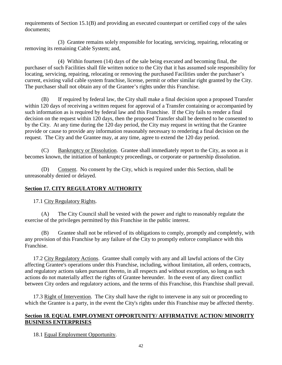requirements of Section 15.1(B) and providing an executed counterpart or certified copy of the sales documents;

(3) Grantee remains solely responsible for locating, servicing, repairing, relocating or removing its remaining Cable System; and,

(4) Within fourteen (14) days of the sale being executed and becoming final, the purchaser of such Facilities shall file written notice to the City that it has assumed sole responsibility for locating, servicing, repairing, relocating or removing the purchased Facilities under the purchaser's current, existing valid cable system franchise, license, permit or other similar right granted by the City. The purchaser shall not obtain any of the Grantee's rights under this Franchise.

(B) If required by federal law, the City shall make a final decision upon a proposed Transfer within 120 days of receiving a written request for approval of a Transfer containing or accompanied by such information as is required by federal law and this Franchise. If the City fails to render a final decision on the request within 120 days, then the proposed Transfer shall be deemed to be consented to by the City. At any time during the 120 day period, the City may request in writing that the Grantee provide or cause to provide any information reasonably necessary to rendering a final decision on the request. The City and the Grantee may, at any time, agree to extend the 120 day period.

(C) Bankruptcy or Dissolution. Grantee shall immediately report to the City, as soon as it becomes known, the initiation of bankruptcy proceedings, or corporate or partnership dissolution.

(D) Consent. No consent by the City, which is required under this Section, shall be unreasonably denied or delayed.

## <span id="page-47-0"></span>**Section 17. CITY REGULATORY AUTHORITY**

<span id="page-47-1"></span>17.1 City Regulatory Rights.

(A) The City Council shall be vested with the power and right to reasonably regulate the exercise of the privileges permitted by this Franchise in the public interest.

(B) Grantee shall not be relieved of its obligations to comply, promptly and completely, with any provision of this Franchise by any failure of the City to promptly enforce compliance with this Franchise.

<span id="page-47-2"></span>17.2 City Regulatory Actions. Grantee shall comply with any and all lawful actions of the City affecting Grantee's operations under this Franchise, including, without limitation, all orders, contracts, and regulatory actions taken pursuant thereto, in all respects and without exception, so long as such actions do not materially affect the rights of Grantee hereunder. In the event of any direct conflict between City orders and regulatory actions, and the terms of this Franchise, this Franchise shall prevail.

<span id="page-47-3"></span>17.3 Right of Intervention. The City shall have the right to intervene in any suit or proceeding to which the Grantee is a party, in the event the City's rights under this Franchise may be affected thereby.

### <span id="page-47-4"></span>**Section 18. EQUAL EMPLOYMENT OPPORTUNITY/ AFFIRMATIVE ACTION/ MINORITY BUSINESS ENTERPRISES**

<span id="page-47-5"></span>18.1 Equal Employment Opportunity.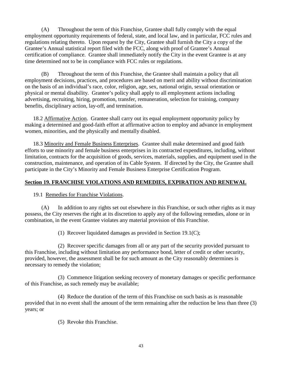(A) Throughout the term of this Franchise, Grantee shall fully comply with the equal employment opportunity requirements of federal, state, and local law, and in particular, FCC rules and regulations relating thereto. Upon request by the City, Grantee shall furnish the City a copy of the Grantee's Annual statistical report filed with the FCC, along with proof of Grantee's Annual certification of compliance. Grantee shall immediately notify the City in the event Grantee is at any time determined not to be in compliance with FCC rules or regulations.

(B) Throughout the term of this Franchise, the Grantee shall maintain a policy that all employment decisions, practices, and procedures are based on merit and ability without discrimination on the basis of an individual's race, color, religion, age, sex, national origin, sexual orientation or physical or mental disability. Grantee's policy shall apply to all employment actions including advertising, recruiting, hiring, promotion, transfer, remuneration, selection for training, company benefits, disciplinary action, lay-off, and termination.

<span id="page-48-0"></span>18.2 Affirmative Action. Grantee shall carry out its equal employment opportunity policy by making a determined and good-faith effort at affirmative action to employ and advance in employment women, minorities, and the physically and mentally disabled.

<span id="page-48-1"></span>18.3 Minority and Female Business Enterprises. Grantee shall make determined and good faith efforts to use minority and female business enterprises in its contracted expenditures, including, without limitation, contracts for the acquisition of goods, services, materials, supplies, and equipment used in the construction, maintenance, and operation of its Cable System. If directed by the City, the Grantee shall participate in the City's Minority and Female Business Enterprise Certification Program.

### <span id="page-48-2"></span>**Section 19. FRANCHISE VIOLATIONS AND REMEDIES, EXPIRATION AND RENEWAL**

<span id="page-48-3"></span>19.1 Remedies for Franchise Violations.

(A) In addition to any rights set out elsewhere in this Franchise, or such other rights as it may possess, the City reserves the right at its discretion to apply any of the following remedies, alone or in combination, in the event Grantee violates any material provision of this Franchise.

(1) Recover liquidated damages as provided in Section 19.1(C);

(2) Recover specific damages from all or any part of the security provided pursuant to this Franchise, including without limitation any performance bond, letter of credit or other security, provided, however, the assessment shall be for such amount as the City reasonably determines is necessary to remedy the violation;

(3) Commence litigation seeking recovery of monetary damages or specific performance of this Franchise, as such remedy may be available;

(4) Reduce the duration of the term of this Franchise on such basis as is reasonable provided that in no event shall the amount of the term remaining after the reduction be less than three (3) years; or

(5) Revoke this Franchise.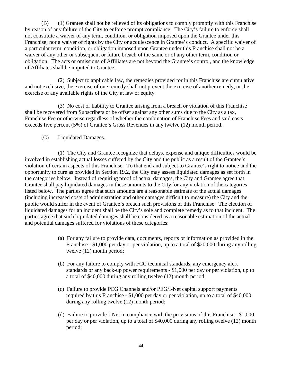(B) (1) Grantee shall not be relieved of its obligations to comply promptly with this Franchise by reason of any failure of the City to enforce prompt compliance. The City's failure to enforce shall not constitute a waiver of any term, condition, or obligation imposed upon the Grantee under this Franchise; nor a waiver of rights by the City or acquiescence in Grantee's conduct. A specific waiver of a particular term, condition, or obligation imposed upon Grantee under this Franchise shall not be a waiver of any other or subsequent or future breach of the same or of any other term, condition or obligation. The acts or omissions of Affiliates are not beyond the Grantee's control, and the knowledge of Affiliates shall be imputed to Grantee.

(2) Subject to applicable law, the remedies provided for in this Franchise are cumulative and not exclusive; the exercise of one remedy shall not prevent the exercise of another remedy, or the exercise of any available rights of the City at law or equity.

(3) No cost or liability to Grantee arising from a breach or violation of this Franchise shall be recovered from Subscribers or be offset against any other sums due to the City as a tax, Franchise Fee or otherwise regardless of whether the combination of Franchise Fees and said costs exceeds five percent (5%) of Grantee's Gross Revenues in any twelve (12) month period.

(C) Liquidated Damages.

(1) The City and Grantee recognize that delays, expense and unique difficulties would be involved in establishing actual losses suffered by the City and the public as a result of the Grantee's violation of certain aspects of this Franchise. To that end and subject to Grantee's right to notice and the opportunity to cure as provided in Section 19.2, the City may assess liquidated damages as set forth in the categories below. Instead of requiring proof of actual damages, the City and Grantee agree that Grantee shall pay liquidated damages in these amounts to the City for any violation of the categories listed below. The parties agree that such amounts are a reasonable estimate of the actual damages (including increased costs of administration and other damages difficult to measure) the City and the public would suffer in the event of Grantee's breach such provisions of this Franchise. The election of liquidated damages for an incident shall be the City's sole and complete remedy as to that incident. The parties agree that such liquidated damages shall be considered as a reasonable estimation of the actual and potential damages suffered for violations of these categories:

- (a) For any failure to provide data, documents, reports or information as provided in the Franchise - \$1,000 per day or per violation, up to a total of \$20,000 during any rolling twelve (12) month period;
- (b) For any failure to comply with FCC technical standards, any emergency alert standards or any back-up power requirements - \$1,000 per day or per violation, up to a total of \$40,000 during any rolling twelve (12) month period;
- (c) Failure to provide PEG Channels and/or PEG/I-Net capital support payments required by this Franchise - \$1,000 per day or per violation, up to a total of \$40,000 during any rolling twelve (12) month period;
- (d) Failure to provide I-Net in compliance with the provisions of this Franchise \$1,000 per day or per violation, up to a total of \$40,000 during any rolling twelve (12) month period;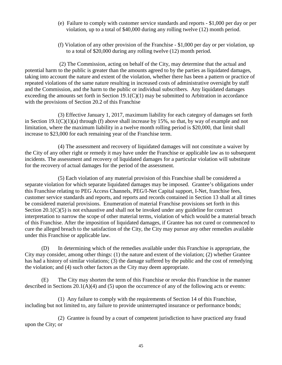- (e) Failure to comply with customer service standards and reports \$1,000 per day or per violation, up to a total of \$40,000 during any rolling twelve (12) month period.
- (f) Violation of any other provision of the Franchise \$1,000 per day or per violation, up to a total of \$20,000 during any rolling twelve (12) month period.

(2) The Commission, acting on behalf of the City, may determine that the actual and potential harm to the public is greater than the amounts agreed to by the parties as liquidated damages, taking into account the nature and extent of the violation, whether there has been a pattern or practice of repeated violations of the same nature resulting in increased costs of administrative oversight by staff and the Commission, and the harm to the public or individual subscribers. Any liquidated damages exceeding the amounts set forth in Section  $19.1(C)(1)$  may be submitted to Arbitration in accordance with the provisions of Section 20.2 of this Franchise

(3) Effective January 1, 2017, maximum liability for each category of damages set forth in Section  $19.1(C)(1)(a)$  through (f) above shall increase by 15%, so that, by way of example and not limitation, where the maximum liability in a twelve month rolling period is \$20,000, that limit shall increase to \$23,000 for each remaining year of the Franchise term.

(4) The assessment and recovery of liquidated damages will not constitute a waiver by the City of any other right or remedy it may have under the Franchise or applicable law as to subsequent incidents. The assessment and recovery of liquidated damages for a particular violation will substitute for the recovery of actual damages for the period of the assessment.

(5) Each violation of any material provision of this Franchise shall be considered a separate violation for which separate liquidated damages may be imposed. Grantee's obligations under this Franchise relating to PEG Access Channels, PEG/I-Net Capital support, I-Net, franchise fees, customer service standards and reports, and reports and records contained in Section 13 shall at all times be considered material provisions. Enumeration of material Franchise provisions set forth in this Section  $20.1(C)(5)$  is not exhaustive and shall not be invoked under any guideline for contract interpretation to narrow the scope of other material terms, violation of which would be a material breach of this Franchise. After the imposition of liquidated damages, if Grantee has not cured or commenced to cure the alleged breach to the satisfaction of the City, the City may pursue any other remedies available under this Franchise or applicable law.

(D) In determining which of the remedies available under this Franchise is appropriate, the City may consider, among other things: (1) the nature and extent of the violation; (2) whether Grantee has had a history of similar violations; (3) the damage suffered by the public and the cost of remedying the violation; and (4) such other factors as the City may deem appropriate.

(E) The City may shorten the term of this Franchise or revoke this Franchise in the manner described in Sections 20.1(A)(4) and (5) upon the occurrence of any of the following acts or events:

(1) Any failure to comply with the requirements of Section 14 of this Franchise, including but not limited to, any failure to provide uninterrupted insurance or performance bonds;

(2) Grantee is found by a court of competent jurisdiction to have practiced any fraud upon the City; or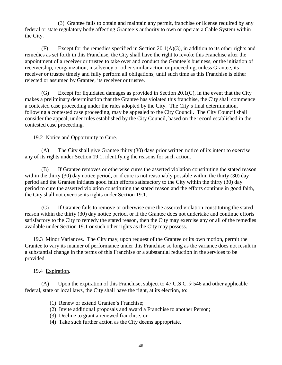(3) Grantee fails to obtain and maintain any permit, franchise or license required by any federal or state regulatory body affecting Grantee's authority to own or operate a Cable System within the City.

 $(F)$  Except for the remedies specified in Section 20.1(A)(3), in addition to its other rights and remedies as set forth in this Franchise, the City shall have the right to revoke this Franchise after the appointment of a receiver or trustee to take over and conduct the Grantee's business, or the initiation of receivership, reorganization, insolvency or other similar action or proceeding, unless Grantee, its receiver or trustee timely and fully perform all obligations, until such time as this Franchise is either rejected or assumed by Grantee, its receiver or trustee.

(G) Except for liquidated damages as provided in Section 20.1(C), in the event that the City makes a preliminary determination that the Grantee has violated this franchise, the City shall commence a contested case proceeding under the rules adopted by the City. The City's final determination, following a contested case proceeding, may be appealed to the City Council. The City Council shall consider the appeal, under rules established by the City Council, based on the record established in the contested case proceeding.

### <span id="page-51-0"></span>19.2 Notice and Opportunity to Cure.

(A) The City shall give Grantee thirty (30) days prior written notice of its intent to exercise any of its rights under Section 19.1, identifying the reasons for such action.

(B) If Grantee removes or otherwise cures the asserted violation constituting the stated reason within the thirty (30) day notice period, or if cure is not reasonably possible within the thirty (30) day period and the Grantee initiates good faith efforts satisfactory to the City within the thirty (30) day period to cure the asserted violation constituting the stated reason and the efforts continue in good faith, the City shall not exercise its rights under Section 19.1.

(C) If Grantee fails to remove or otherwise cure the asserted violation constituting the stated reason within the thirty (30) day notice period, or if the Grantee does not undertake and continue efforts satisfactory to the City to remedy the stated reason, then the City may exercise any or all of the remedies available under Section 19.1 or such other rights as the City may possess.

<span id="page-51-1"></span>19.3 Minor Variances. The City may, upon request of the Grantee or its own motion, permit the Grantee to vary its manner of performance under this Franchise so long as the variance does not result in a substantial change in the terms of this Franchise or a substantial reduction in the services to be provided.

#### <span id="page-51-2"></span>19.4 Expiration.

(A) Upon the expiration of this Franchise, subject to 47 U.S.C. § 546 and other applicable federal, state or local laws, the City shall have the right, at its election, to:

- (1) Renew or extend Grantee's Franchise;
- (2) Invite additional proposals and award a Franchise to another Person;
- (3) Decline to grant a renewed franchise; or
- (4) Take such further action as the City deems appropriate.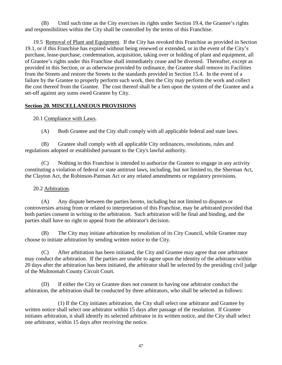(B) Until such time as the City exercises its rights under Section 19.4, the Grantee's rights and responsibilities within the City shall be controlled by the terms of this Franchise.

<span id="page-52-0"></span>19.5 Removal of Plant and Equipment. If the City has revoked this Franchise as provided in Section 19.1, or if this Franchise has expired without being renewed or extended, or in the event of the City's purchase, lease-purchase, condemnation, acquisition, taking over or holding of plant and equipment, all of Grantee's rights under this Franchise shall immediately cease and be divested. Thereafter, except as provided in this Section, or as otherwise provided by ordinance, the Grantee shall remove its Facilities from the Streets and restore the Streets to the standards provided in Section 15.4. In the event of a failure by the Grantee to properly perform such work, then the City may perform the work and collect the cost thereof from the Grantee. The cost thereof shall be a lien upon the system of the Grantee and a set-off against any sums owed Grantee by City.

## <span id="page-52-1"></span>**Section 20. MISCELLANEOUS PROVISIONS**

## <span id="page-52-2"></span>20.1 Compliance with Laws.

(A) Both Grantee and the City shall comply with all applicable federal and state laws.

(B) Grantee shall comply with all applicable City ordinances, resolutions, rules and regulations adopted or established pursuant to the City's lawful authority.

(C) Nothing in this Franchise is intended to authorize the Grantee to engage in any activity constituting a violation of federal or state antitrust laws, including, but not limited to, the Sherman Act, the Clayton Act, the Robinson-Patman Act or any related amendments or regulatory provisions.

### <span id="page-52-3"></span>20.2 Arbitration.

(A) Any dispute between the parties hereto, including but not limited to disputes or controversies arising from or related to interpretation of this Franchise, may be arbitrated provided that both parties consent in writing to the arbitration. Such arbitration will be final and binding, and the parties shall have no right to appeal from the arbitrator's decision.

(B) The City may initiate arbitration by resolution of its City Council, while Grantee may choose to initiate arbitration by sending written notice to the City.

(C) After arbitration has been initiated, the City and Grantee may agree that one arbitrator may conduct the arbitration. If the parties are unable to agree upon the identity of the arbitrator within 20 days after the arbitration has been initiated, the arbitrator shall be selected by the presiding civil judge of the Multnomah County Circuit Court.

(D) If either the City or Grantee does not consent to having one arbitrator conduct the arbitration, the arbitration shall be conducted by three arbitrators, who shall be selected as follows:

(1) If the City initiates arbitration, the City shall select one arbitrator and Grantee by written notice shall select one arbitrator within 15 days after passage of the resolution. If Grantee initiates arbitration, it shall identify its selected arbitrator in its written notice, and the City shall select one arbitrator, within 15 days after receiving the notice.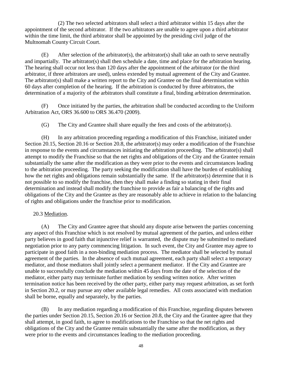(2) The two selected arbitrators shall select a third arbitrator within 15 days after the appointment of the second arbitrator. If the two arbitrators are unable to agree upon a third arbitrator within the time limit, the third arbitrator shall be appointed by the presiding civil judge of the Multnomah County Circuit Court.

(E) After selection of the arbitrator(s), the arbitrator(s) shall take an oath to serve neutrally and impartially. The arbitrator(s) shall then schedule a date, time and place for the arbitration hearing. The hearing shall occur not less than 120 days after the appointment of the arbitrator (or the third arbitrator, if three arbitrators are used), unless extended by mutual agreement of the City and Grantee. The arbitrator(s) shall make a written report to the City and Grantee on the final determination within 60 days after completion of the hearing. If the arbitration is conducted by three arbitrators, the determination of a majority of the arbitrators shall constitute a final, binding arbitration determination.

(F) Once initiated by the parties, the arbitration shall be conducted according to the Uniform Arbitration Act, ORS 36.600 to ORS 36.470 (2009).

(G) The City and Grantee shall share equally the fees and costs of the arbitrator(s).

(H) In any arbitration proceeding regarding a modification of this Franchise, initiated under Section 20.15, Section 20.16 or Section 20.8, the arbitrator(s) may order a modification of the Franchise in response to the events and circumstances initiating the arbitration proceeding. The arbitrator(s) shall attempt to modify the Franchise so that the net rights and obligations of the City and the Grantee remain substantially the same after the modification as they were prior to the events and circumstances leading to the arbitration proceeding. The party seeking the modification shall have the burden of establishing how the net rights and obligations remain substantially the same. If the arbitrator(s) determine that it is not possible to so modify the franchise, then they shall make a finding so stating in their final determination and instead shall modify the franchise to provide as fair a balancing of the rights and obligations of the City and the Grantee as they are reasonably able to achieve in relation to the balancing of rights and obligations under the franchise prior to modification.

### <span id="page-53-0"></span>20.3 Mediation.

(A) The City and Grantee agree that should any dispute arise between the parties concerning any aspect of this Franchise which is not resolved by mutual agreement of the parties, and unless either party believes in good faith that injunctive relief is warranted, the dispute may be submitted to mediated negotiation prior to any party commencing litigation. In such event, the City and Grantee may agree to participate in good faith in a non-binding mediation process. The mediator shall be selected by mutual agreement of the parties. In the absence of such mutual agreement, each party shall select a temporary mediator, and those mediators shall jointly select a permanent mediator. If the City and Grantee are unable to successfully conclude the mediation within 45 days from the date of the selection of the mediator, either party may terminate further mediation by sending written notice. After written termination notice has been received by the other party, either party may request arbitration, as set forth in Section 20.2, or may pursue any other available legal remedies. All costs associated with mediation shall be borne, equally and separately, by the parties.

(B) In any mediation regarding a modification of this Franchise, regarding disputes between the parties under Section 20.15, Section 20.16 or Section 20.8, the City and the Grantee agree that they shall attempt, in good faith, to agree to modifications to the Franchise so that the net rights and obligations of the City and the Grantee remain substantially the same after the modification, as they were prior to the events and circumstances leading to the mediation proceeding.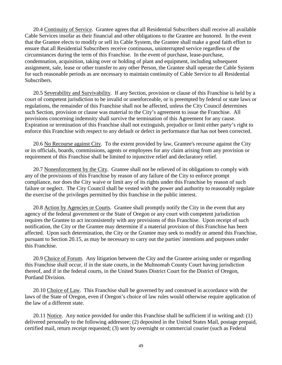<span id="page-54-0"></span>20.4 Continuity of Service. Grantee agrees that all Residential Subscribers shall receive all available Cable Services insofar as their financial and other obligations to the Grantee are honored. In the event that the Grantee elects to modify or sell its Cable System, the Grantee shall make a good faith effort to ensure that all Residential Subscribers receive continuous, uninterrupted service regardless of the circumstances during the term of this Franchise. In the event of purchase, lease-purchase, condemnation, acquisition, taking over or holding of plant and equipment, including subsequent assignment, sale, lease or other transfer to any other Person, the Grantee shall operate the Cable System for such reasonable periods as are necessary to maintain continuity of Cable Service to all Residential Subscribers.

<span id="page-54-1"></span>20.5 Severability and Survivability. If any Section, provision or clause of this Franchise is held by a court of competent jurisdiction to be invalid or unenforceable, or is preempted by federal or state laws or regulations, the remainder of this Franchise shall not be affected, unless the City Council determines such Section, provision or clause was material to the City's agreement to issue the Franchise. All provisions concerning indemnity shall survive the termination of this Agreement for any cause. Expiration or termination of this Franchise shall not extinguish, prejudice or limit either party's right to enforce this Franchise with respect to any default or defect in performance that has not been corrected.

<span id="page-54-2"></span>20.6 No Recourse against City. To the extent provided by law, Grantee's recourse against the City or its officials, boards, commissions, agents or employees for any claim arising from any provision or requirement of this Franchise shall be limited to injunctive relief and declaratory relief.

<span id="page-54-3"></span>20.7 Nonenforcement by the City. Grantee shall not be relieved of its obligations to comply with any of the provisions of this Franchise by reason of any failure of the City to enforce prompt compliance, nor does the City waive or limit any of its rights under this Franchise by reason of such failure or neglect. The City Council shall be vested with the power and authority to reasonably regulate the exercise of the privileges permitted by this franchise in the public interest.

<span id="page-54-4"></span>20.8 Action by Agencies or Courts. Grantee shall promptly notify the City in the event that any agency of the federal government or the State of Oregon or any court with competent jurisdiction requires the Grantee to act inconsistently with any provisions of this Franchise. Upon receipt of such notification, the City or the Grantee may determine if a material provision of this Franchise has been affected. Upon such determination, the City or the Grantee may seek to modify or amend this Franchise, pursuant to Section 20.15, as may be necessary to carry out the parties' intentions and purposes under this Franchise.

<span id="page-54-5"></span>20.9 Choice of Forum. Any litigation between the City and the Grantee arising under or regarding this Franchise shall occur, if in the state courts, in the Multnomah County Court having jurisdiction thereof, and if in the federal courts, in the United States District Court for the District of Oregon, Portland Division.

<span id="page-54-6"></span>20.10 Choice of Law. This Franchise shall be governed by and construed in accordance with the laws of the State of Oregon, even if Oregon's choice of law rules would otherwise require application of the law of a different state.

<span id="page-54-7"></span>20.11 Notice. Any notice provided for under this Franchise shall be sufficient if in writing and: (1) delivered personally to the following addressee; (2) deposited in the United States Mail, postage prepaid, certified mail, return receipt requested; (3) sent by overnight or commercial courier (such as Federal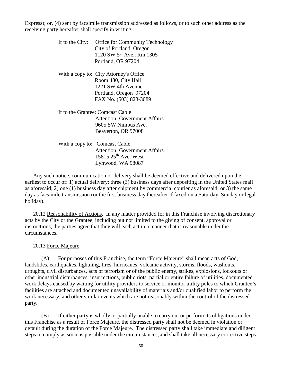Express); or, (4) sent by facsimile transmission addressed as follows, or to such other address as the receiving party hereafter shall specify in writing:

| If to the City: | <b>Office for Community Technology</b> |
|-----------------|----------------------------------------|
|                 | City of Portland, Oregon               |
|                 | 1120 SW 5 <sup>th</sup> Ave., Rm 1305  |
|                 | Portland, OR 97204                     |
|                 | With a copy to: City Attorney's Office |
|                 | Room 430, City Hall                    |
|                 | 1221 SW 4th Avenue                     |
|                 | Portland, Oregon 97204                 |
|                 | FAX No. (503) 823-3089                 |
|                 | If to the Grantee: Comcast Cable       |
|                 | <b>Attention: Government Affairs</b>   |
|                 | 9605 SW Nimbus Ave.                    |
|                 | Beaverton, OR 97008                    |
|                 | With a copy to: Comcast Cable          |
|                 | <b>Attention: Government Affairs</b>   |
|                 | 15815 25 <sup>th</sup> Ave. West       |
|                 | Lynwood, WA 98087                      |

Any such notice, communication or delivery shall be deemed effective and delivered upon the earliest to occur of: 1) actual delivery; three (3) business days after depositing in the United States mail as aforesaid; 2) one (1) business day after shipment by commercial courier as aforesaid; or 3) the same day as facsimile transmission (or the first business day thereafter if faxed on a Saturday, Sunday or legal holiday).

<span id="page-55-0"></span>20.12 Reasonability of Actions. In any matter provided for in this Franchise involving discretionary acts by the City or the Grantee, including but not limited to the giving of consent, approval or instructions, the parties agree that they will each act in a manner that is reasonable under the circumstances.

<span id="page-55-1"></span>20.13 Force Majeure.

(A) For purposes of this Franchise, the term "Force Majeure" shall mean acts of God, landslides, earthquakes, lightning, fires, hurricanes, volcanic activity, storms, floods, washouts, droughts, civil disturbances, acts of terrorism or of the public enemy, strikes, explosions, lockouts or other industrial disturbances, insurrections, public riots, partial or entire failure of utilities, documented work delays caused by waiting for utility providers to service or monitor utility poles to which Grantee's facilities are attached and documented unavailability of materials and/or qualified labor to perform the work necessary; and other similar events which are not reasonably within the control of the distressed party.

(B) If either party is wholly or partially unable to carry out or perform its obligations under this Franchise as a result of Force Majeure, the distressed party shall not be deemed in violation or default during the duration of the Force Majeure. The distressed party shall take immediate and diligent steps to comply as soon as possible under the circumstances, and shall take all necessary corrective steps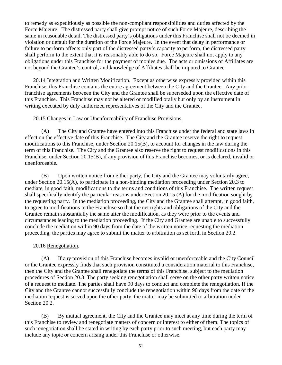to remedy as expeditiously as possible the non-compliant responsibilities and duties affected by the Force Majeure. The distressed party shall give prompt notice of such Force Majeure, describing the same in reasonable detail. The distressed party's obligations under this Franchise shall not be deemed in violation or default for the duration of the Force Majeure. In the event that delay in performance or failure to perform affects only part of the distressed party's capacity to perform, the distressed party shall perform to the extent that it is reasonably able to do so. Force Majeure shall not apply to any obligations under this Franchise for the payment of monies due. The acts or omissions of Affiliates are not beyond the Grantee's control, and knowledge of Affiliates shall be imputed to Grantee.

<span id="page-56-0"></span>20.14 Integration and Written Modification. Except as otherwise expressly provided within this Franchise, this Franchise contains the entire agreement between the City and the Grantee. Any prior franchise agreements between the City and the Grantee shall be superseded upon the effective date of this Franchise. This Franchise may not be altered or modified orally but only by an instrument in writing executed by duly authorized representatives of the City and the Grantee.

#### <span id="page-56-1"></span>20.15 Changes in Law or Unenforceability of Franchise Provisions.

(A) The City and Grantee have entered into this Franchise under the federal and state laws in effect on the effective date of this Franchise. The City and the Grantee reserve the right to request modifications to this Franchise, under Section 20.15(B), to account for changes in the law during the term of this Franchise. The City and the Grantee also reserve the right to request modifications in this Franchise, under Section 20.15(B), if any provision of this Franchise becomes, or is declared, invalid or unenforceable.

(B) Upon written notice from either party, the City and the Grantee may voluntarily agree, under Section 20.15(A), to participate in a non-binding mediation proceeding under Section 20.3 to mediate, in good faith, modifications to the terms and conditions of this Franchise. The written request shall specifically identify the particular reasons under Section 20.15 (A) for the modification sought by the requesting party. In the mediation proceeding, the City and the Grantee shall attempt, in good faith, to agree to modifications to the Franchise so that the net rights and obligations of the City and the Grantee remain substantially the same after the modification, as they were prior to the events and circumstances leading to the mediation proceeding. If the City and Grantee are unable to successfully conclude the mediation within 90 days from the date of the written notice requesting the mediation proceeding, the parties may agree to submit the matter to arbitration as set forth in Section 20.2.

#### <span id="page-56-2"></span>20.16 Renegotiation.

(A) If any provision of this Franchise becomes invalid or unenforceable and the City Council or the Grantee expressly finds that such provision constituted a consideration material to this Franchise, then the City and the Grantee shall renegotiate the terms of this Franchise, subject to the mediation procedures of Section 20.3. The party seeking renegotiation shall serve on the other party written notice of a request to mediate. The parties shall have 90 days to conduct and complete the renegotiation. If the City and the Grantee cannot successfully conclude the renegotiation within 90 days from the date of the mediation request is served upon the other party, the matter may be submitted to arbitration under Section 20.2.

(B) By mutual agreement, the City and the Grantee may meet at any time during the term of this Franchise to review and renegotiate matters of concern or interest to either of them. The topics of such renegotiation shall be stated in writing by each party prior to such meeting, but each party may include any topic or concern arising under this Franchise or otherwise.